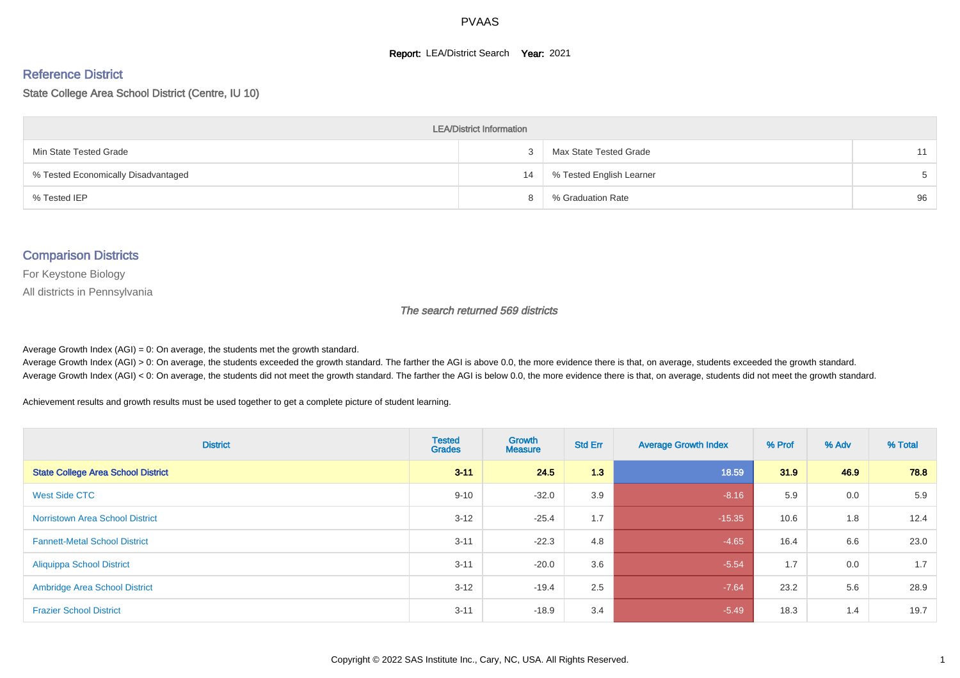#### **Report: LEA/District Search Year: 2021**

# Reference District

State College Area School District (Centre, IU 10)

| <b>LEA/District Information</b>     |    |                          |       |  |  |  |  |  |  |
|-------------------------------------|----|--------------------------|-------|--|--|--|--|--|--|
| Min State Tested Grade              |    | Max State Tested Grade   | 11    |  |  |  |  |  |  |
| % Tested Economically Disadvantaged | 14 | % Tested English Learner | $5 -$ |  |  |  |  |  |  |
| % Tested IEP                        |    | % Graduation Rate        | 96    |  |  |  |  |  |  |

#### Comparison Districts

For Keystone Biology

All districts in Pennsylvania

The search returned 569 districts

Average Growth Index  $(AGI) = 0$ : On average, the students met the growth standard.

Average Growth Index (AGI) > 0: On average, the students exceeded the growth standard. The farther the AGI is above 0.0, the more evidence there is that, on average, students exceeded the growth standard. Average Growth Index (AGI) < 0: On average, the students did not meet the growth standard. The farther the AGI is below 0.0, the more evidence there is that, on average, students did not meet the growth standard.

Achievement results and growth results must be used together to get a complete picture of student learning.

| <b>District</b>                           | <b>Tested</b><br><b>Grades</b> | <b>Growth</b><br><b>Measure</b> | <b>Std Err</b> | <b>Average Growth Index</b> | % Prof | % Adv | % Total |
|-------------------------------------------|--------------------------------|---------------------------------|----------------|-----------------------------|--------|-------|---------|
| <b>State College Area School District</b> | $3 - 11$                       | 24.5                            | 1.3            | 18.59                       | 31.9   | 46.9  | 78.8    |
| <b>West Side CTC</b>                      | $9 - 10$                       | $-32.0$                         | 3.9            | $-8.16$                     | 5.9    | 0.0   | 5.9     |
| <b>Norristown Area School District</b>    | $3 - 12$                       | $-25.4$                         | 1.7            | $-15.35$                    | 10.6   | 1.8   | 12.4    |
| <b>Fannett-Metal School District</b>      | $3 - 11$                       | $-22.3$                         | 4.8            | $-4.65$                     | 16.4   | 6.6   | 23.0    |
| <b>Aliquippa School District</b>          | $3 - 11$                       | $-20.0$                         | 3.6            | $-5.54$                     | 1.7    | 0.0   | 1.7     |
| <b>Ambridge Area School District</b>      | $3 - 12$                       | $-19.4$                         | 2.5            | $-7.64$                     | 23.2   | 5.6   | 28.9    |
| <b>Frazier School District</b>            | $3 - 11$                       | $-18.9$                         | 3.4            | $-5.49$                     | 18.3   | 1.4   | 19.7    |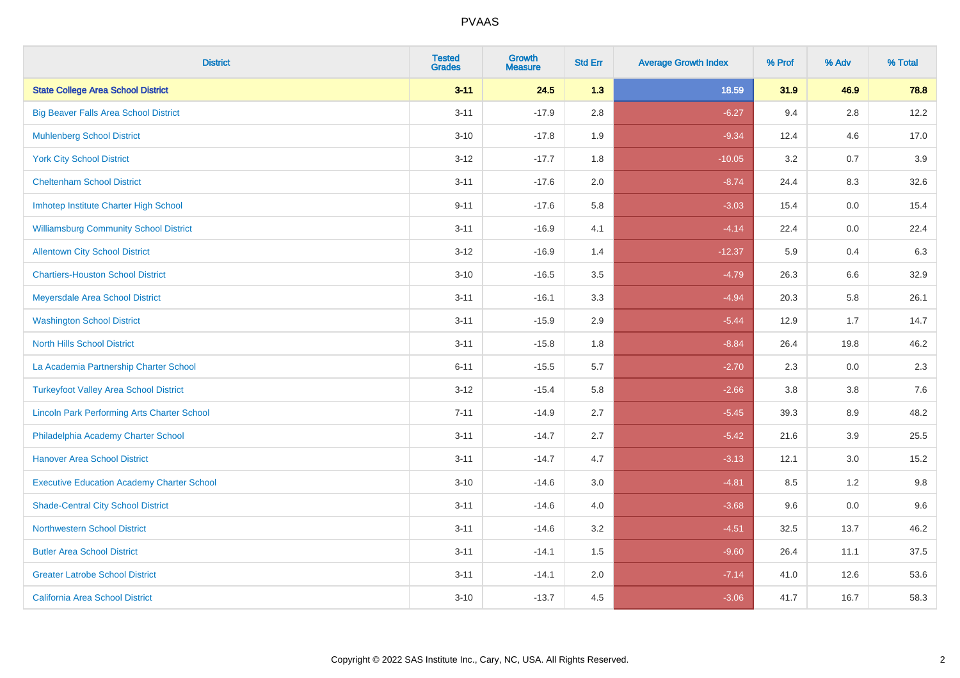| <b>District</b>                                    | <b>Tested</b><br><b>Grades</b> | <b>Growth</b><br><b>Measure</b> | <b>Std Err</b> | <b>Average Growth Index</b> | % Prof | % Adv   | % Total |
|----------------------------------------------------|--------------------------------|---------------------------------|----------------|-----------------------------|--------|---------|---------|
| <b>State College Area School District</b>          | $3 - 11$                       | 24.5                            | 1.3            | 18.59                       | 31.9   | 46.9    | 78.8    |
| <b>Big Beaver Falls Area School District</b>       | $3 - 11$                       | $-17.9$                         | 2.8            | $-6.27$                     | 9.4    | $2.8\,$ | 12.2    |
| <b>Muhlenberg School District</b>                  | $3 - 10$                       | $-17.8$                         | 1.9            | $-9.34$                     | 12.4   | 4.6     | 17.0    |
| <b>York City School District</b>                   | $3 - 12$                       | $-17.7$                         | 1.8            | $-10.05$                    | 3.2    | 0.7     | 3.9     |
| <b>Cheltenham School District</b>                  | $3 - 11$                       | $-17.6$                         | 2.0            | $-8.74$                     | 24.4   | 8.3     | 32.6    |
| Imhotep Institute Charter High School              | $9 - 11$                       | $-17.6$                         | 5.8            | $-3.03$                     | 15.4   | 0.0     | 15.4    |
| <b>Williamsburg Community School District</b>      | $3 - 11$                       | $-16.9$                         | 4.1            | $-4.14$                     | 22.4   | 0.0     | 22.4    |
| <b>Allentown City School District</b>              | $3 - 12$                       | $-16.9$                         | 1.4            | $-12.37$                    | 5.9    | 0.4     | 6.3     |
| <b>Chartiers-Houston School District</b>           | $3 - 10$                       | $-16.5$                         | 3.5            | $-4.79$                     | 26.3   | 6.6     | 32.9    |
| Meyersdale Area School District                    | $3 - 11$                       | $-16.1$                         | 3.3            | $-4.94$                     | 20.3   | 5.8     | 26.1    |
| <b>Washington School District</b>                  | $3 - 11$                       | $-15.9$                         | 2.9            | $-5.44$                     | 12.9   | 1.7     | 14.7    |
| <b>North Hills School District</b>                 | $3 - 11$                       | $-15.8$                         | 1.8            | $-8.84$                     | 26.4   | 19.8    | 46.2    |
| La Academia Partnership Charter School             | $6 - 11$                       | $-15.5$                         | 5.7            | $-2.70$                     | 2.3    | 0.0     | 2.3     |
| <b>Turkeyfoot Valley Area School District</b>      | $3 - 12$                       | $-15.4$                         | 5.8            | $-2.66$                     | 3.8    | 3.8     | 7.6     |
| <b>Lincoln Park Performing Arts Charter School</b> | $7 - 11$                       | $-14.9$                         | 2.7            | $-5.45$                     | 39.3   | 8.9     | 48.2    |
| Philadelphia Academy Charter School                | $3 - 11$                       | $-14.7$                         | 2.7            | $-5.42$                     | 21.6   | 3.9     | 25.5    |
| <b>Hanover Area School District</b>                | $3 - 11$                       | $-14.7$                         | 4.7            | $-3.13$                     | 12.1   | 3.0     | 15.2    |
| <b>Executive Education Academy Charter School</b>  | $3 - 10$                       | $-14.6$                         | 3.0            | $-4.81$                     | 8.5    | 1.2     | 9.8     |
| <b>Shade-Central City School District</b>          | $3 - 11$                       | $-14.6$                         | 4.0            | $-3.68$                     | 9.6    | 0.0     | 9.6     |
| <b>Northwestern School District</b>                | $3 - 11$                       | $-14.6$                         | 3.2            | $-4.51$                     | 32.5   | 13.7    | 46.2    |
| <b>Butler Area School District</b>                 | $3 - 11$                       | $-14.1$                         | 1.5            | $-9.60$                     | 26.4   | 11.1    | 37.5    |
| <b>Greater Latrobe School District</b>             | $3 - 11$                       | $-14.1$                         | 2.0            | $-7.14$                     | 41.0   | 12.6    | 53.6    |
| <b>California Area School District</b>             | $3 - 10$                       | $-13.7$                         | 4.5            | $-3.06$                     | 41.7   | 16.7    | 58.3    |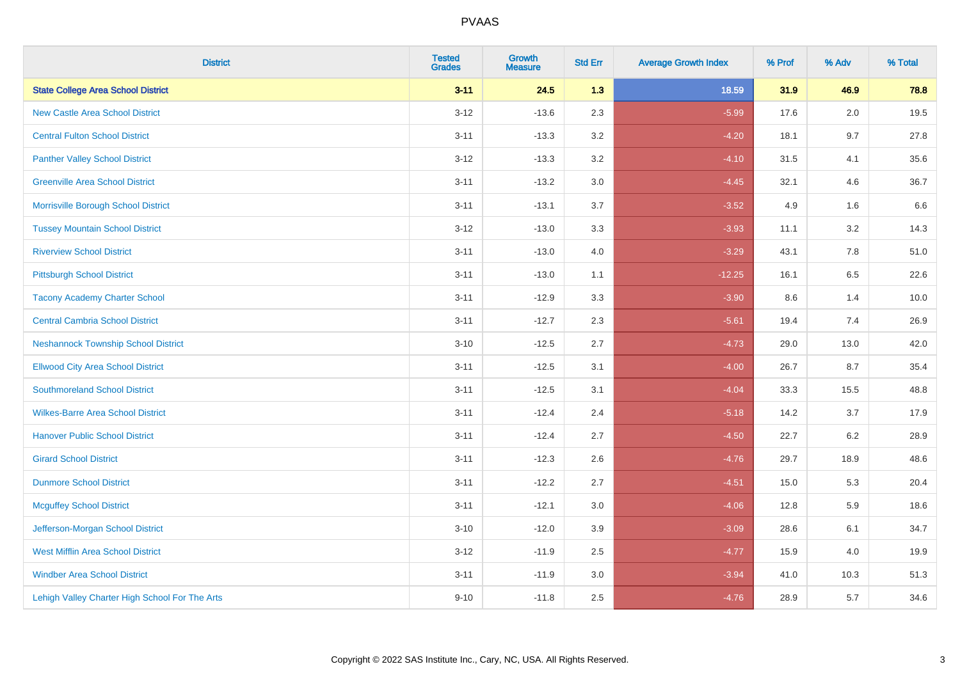| <b>District</b>                                | <b>Tested</b><br><b>Grades</b> | <b>Growth</b><br><b>Measure</b> | <b>Std Err</b> | <b>Average Growth Index</b> | % Prof | % Adv   | % Total |
|------------------------------------------------|--------------------------------|---------------------------------|----------------|-----------------------------|--------|---------|---------|
| <b>State College Area School District</b>      | $3 - 11$                       | 24.5                            | 1.3            | 18.59                       | 31.9   | 46.9    | 78.8    |
| <b>New Castle Area School District</b>         | $3 - 12$                       | $-13.6$                         | 2.3            | $-5.99$                     | 17.6   | 2.0     | 19.5    |
| <b>Central Fulton School District</b>          | $3 - 11$                       | $-13.3$                         | 3.2            | $-4.20$                     | 18.1   | 9.7     | 27.8    |
| <b>Panther Valley School District</b>          | $3 - 12$                       | $-13.3$                         | $3.2\,$        | $-4.10$                     | 31.5   | 4.1     | 35.6    |
| <b>Greenville Area School District</b>         | $3 - 11$                       | $-13.2$                         | 3.0            | $-4.45$                     | 32.1   | 4.6     | 36.7    |
| Morrisville Borough School District            | $3 - 11$                       | $-13.1$                         | 3.7            | $-3.52$                     | 4.9    | 1.6     | 6.6     |
| <b>Tussey Mountain School District</b>         | $3 - 12$                       | $-13.0$                         | 3.3            | $-3.93$                     | 11.1   | $3.2\,$ | 14.3    |
| <b>Riverview School District</b>               | $3 - 11$                       | $-13.0$                         | 4.0            | $-3.29$                     | 43.1   | 7.8     | 51.0    |
| <b>Pittsburgh School District</b>              | $3 - 11$                       | $-13.0$                         | 1.1            | $-12.25$                    | 16.1   | 6.5     | 22.6    |
| <b>Tacony Academy Charter School</b>           | $3 - 11$                       | $-12.9$                         | 3.3            | $-3.90$                     | 8.6    | 1.4     | 10.0    |
| <b>Central Cambria School District</b>         | $3 - 11$                       | $-12.7$                         | 2.3            | $-5.61$                     | 19.4   | 7.4     | 26.9    |
| <b>Neshannock Township School District</b>     | $3 - 10$                       | $-12.5$                         | 2.7            | $-4.73$                     | 29.0   | 13.0    | 42.0    |
| <b>Ellwood City Area School District</b>       | $3 - 11$                       | $-12.5$                         | 3.1            | $-4.00$                     | 26.7   | 8.7     | 35.4    |
| <b>Southmoreland School District</b>           | $3 - 11$                       | $-12.5$                         | 3.1            | $-4.04$                     | 33.3   | 15.5    | 48.8    |
| <b>Wilkes-Barre Area School District</b>       | $3 - 11$                       | $-12.4$                         | 2.4            | $-5.18$                     | 14.2   | 3.7     | 17.9    |
| <b>Hanover Public School District</b>          | $3 - 11$                       | $-12.4$                         | 2.7            | $-4.50$                     | 22.7   | 6.2     | 28.9    |
| <b>Girard School District</b>                  | $3 - 11$                       | $-12.3$                         | 2.6            | $-4.76$                     | 29.7   | 18.9    | 48.6    |
| <b>Dunmore School District</b>                 | $3 - 11$                       | $-12.2$                         | 2.7            | $-4.51$                     | 15.0   | 5.3     | 20.4    |
| <b>Mcguffey School District</b>                | $3 - 11$                       | $-12.1$                         | 3.0            | $-4.06$                     | 12.8   | 5.9     | 18.6    |
| Jefferson-Morgan School District               | $3 - 10$                       | $-12.0$                         | 3.9            | $-3.09$                     | 28.6   | 6.1     | 34.7    |
| <b>West Mifflin Area School District</b>       | $3 - 12$                       | $-11.9$                         | 2.5            | $-4.77$                     | 15.9   | 4.0     | 19.9    |
| <b>Windber Area School District</b>            | $3 - 11$                       | $-11.9$                         | 3.0            | $-3.94$                     | 41.0   | 10.3    | 51.3    |
| Lehigh Valley Charter High School For The Arts | $9 - 10$                       | $-11.8$                         | 2.5            | $-4.76$                     | 28.9   | 5.7     | 34.6    |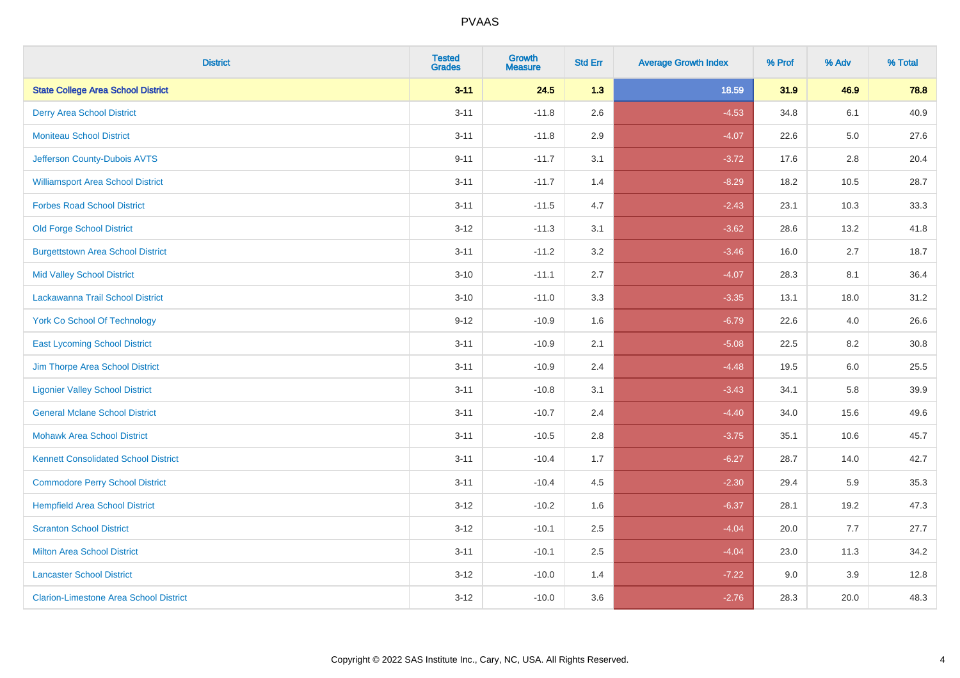| <b>District</b>                               | <b>Tested</b><br><b>Grades</b> | <b>Growth</b><br><b>Measure</b> | <b>Std Err</b> | <b>Average Growth Index</b> | % Prof | % Adv   | % Total |
|-----------------------------------------------|--------------------------------|---------------------------------|----------------|-----------------------------|--------|---------|---------|
| <b>State College Area School District</b>     | $3 - 11$                       | 24.5                            | 1.3            | 18.59                       | 31.9   | 46.9    | 78.8    |
| <b>Derry Area School District</b>             | $3 - 11$                       | $-11.8$                         | 2.6            | $-4.53$                     | 34.8   | 6.1     | 40.9    |
| <b>Moniteau School District</b>               | $3 - 11$                       | $-11.8$                         | 2.9            | $-4.07$                     | 22.6   | $5.0\,$ | 27.6    |
| Jefferson County-Dubois AVTS                  | $9 - 11$                       | $-11.7$                         | 3.1            | $-3.72$                     | 17.6   | 2.8     | 20.4    |
| <b>Williamsport Area School District</b>      | $3 - 11$                       | $-11.7$                         | 1.4            | $-8.29$                     | 18.2   | 10.5    | 28.7    |
| <b>Forbes Road School District</b>            | $3 - 11$                       | $-11.5$                         | 4.7            | $-2.43$                     | 23.1   | 10.3    | 33.3    |
| <b>Old Forge School District</b>              | $3 - 12$                       | $-11.3$                         | 3.1            | $-3.62$                     | 28.6   | 13.2    | 41.8    |
| <b>Burgettstown Area School District</b>      | $3 - 11$                       | $-11.2$                         | 3.2            | $-3.46$                     | 16.0   | 2.7     | 18.7    |
| <b>Mid Valley School District</b>             | $3 - 10$                       | $-11.1$                         | 2.7            | $-4.07$                     | 28.3   | 8.1     | 36.4    |
| Lackawanna Trail School District              | $3 - 10$                       | $-11.0$                         | 3.3            | $-3.35$                     | 13.1   | 18.0    | 31.2    |
| <b>York Co School Of Technology</b>           | $9 - 12$                       | $-10.9$                         | 1.6            | $-6.79$                     | 22.6   | 4.0     | 26.6    |
| <b>East Lycoming School District</b>          | $3 - 11$                       | $-10.9$                         | 2.1            | $-5.08$                     | 22.5   | 8.2     | 30.8    |
| Jim Thorpe Area School District               | $3 - 11$                       | $-10.9$                         | 2.4            | $-4.48$                     | 19.5   | 6.0     | 25.5    |
| <b>Ligonier Valley School District</b>        | $3 - 11$                       | $-10.8$                         | 3.1            | $-3.43$                     | 34.1   | 5.8     | 39.9    |
| <b>General Mclane School District</b>         | $3 - 11$                       | $-10.7$                         | 2.4            | $-4.40$                     | 34.0   | 15.6    | 49.6    |
| <b>Mohawk Area School District</b>            | $3 - 11$                       | $-10.5$                         | 2.8            | $-3.75$                     | 35.1   | 10.6    | 45.7    |
| <b>Kennett Consolidated School District</b>   | $3 - 11$                       | $-10.4$                         | 1.7            | $-6.27$                     | 28.7   | 14.0    | 42.7    |
| <b>Commodore Perry School District</b>        | $3 - 11$                       | $-10.4$                         | 4.5            | $-2.30$                     | 29.4   | 5.9     | 35.3    |
| <b>Hempfield Area School District</b>         | $3 - 12$                       | $-10.2$                         | 1.6            | $-6.37$                     | 28.1   | 19.2    | 47.3    |
| <b>Scranton School District</b>               | $3 - 12$                       | $-10.1$                         | 2.5            | $-4.04$                     | 20.0   | 7.7     | 27.7    |
| <b>Milton Area School District</b>            | $3 - 11$                       | $-10.1$                         | $2.5\,$        | $-4.04$                     | 23.0   | 11.3    | 34.2    |
| <b>Lancaster School District</b>              | $3 - 12$                       | $-10.0$                         | 1.4            | $-7.22$                     | 9.0    | 3.9     | 12.8    |
| <b>Clarion-Limestone Area School District</b> | $3 - 12$                       | $-10.0$                         | 3.6            | $-2.76$                     | 28.3   | 20.0    | 48.3    |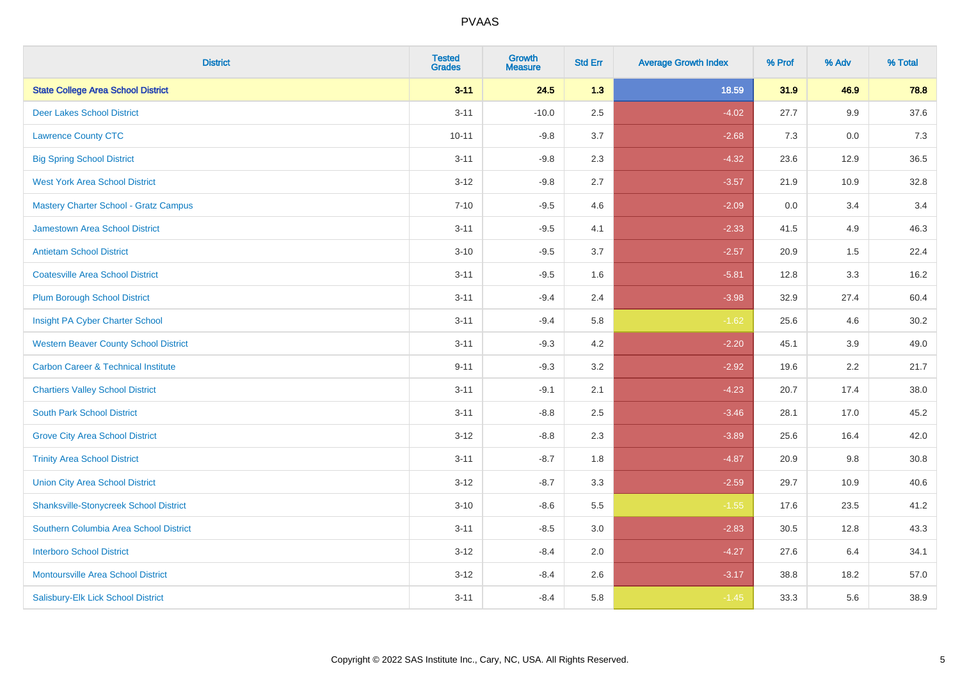| <b>District</b>                                | <b>Tested</b><br><b>Grades</b> | <b>Growth</b><br><b>Measure</b> | <b>Std Err</b> | <b>Average Growth Index</b> | % Prof | % Adv   | % Total |
|------------------------------------------------|--------------------------------|---------------------------------|----------------|-----------------------------|--------|---------|---------|
| <b>State College Area School District</b>      | $3 - 11$                       | 24.5                            | 1.3            | 18.59                       | 31.9   | 46.9    | 78.8    |
| <b>Deer Lakes School District</b>              | $3 - 11$                       | $-10.0$                         | 2.5            | $-4.02$                     | 27.7   | $9.9\,$ | 37.6    |
| <b>Lawrence County CTC</b>                     | $10 - 11$                      | $-9.8$                          | 3.7            | $-2.68$                     | 7.3    | 0.0     | 7.3     |
| <b>Big Spring School District</b>              | $3 - 11$                       | $-9.8$                          | 2.3            | $-4.32$                     | 23.6   | 12.9    | 36.5    |
| <b>West York Area School District</b>          | $3 - 12$                       | $-9.8$                          | 2.7            | $-3.57$                     | 21.9   | 10.9    | 32.8    |
| Mastery Charter School - Gratz Campus          | $7 - 10$                       | $-9.5$                          | 4.6            | $-2.09$                     | 0.0    | 3.4     | 3.4     |
| <b>Jamestown Area School District</b>          | $3 - 11$                       | $-9.5$                          | 4.1            | $-2.33$                     | 41.5   | 4.9     | 46.3    |
| <b>Antietam School District</b>                | $3 - 10$                       | $-9.5$                          | 3.7            | $-2.57$                     | 20.9   | 1.5     | 22.4    |
| <b>Coatesville Area School District</b>        | $3 - 11$                       | $-9.5$                          | 1.6            | $-5.81$                     | 12.8   | 3.3     | 16.2    |
| <b>Plum Borough School District</b>            | $3 - 11$                       | $-9.4$                          | 2.4            | $-3.98$                     | 32.9   | 27.4    | 60.4    |
| Insight PA Cyber Charter School                | $3 - 11$                       | $-9.4$                          | 5.8            | $-1.62$                     | 25.6   | 4.6     | 30.2    |
| <b>Western Beaver County School District</b>   | $3 - 11$                       | $-9.3$                          | 4.2            | $-2.20$                     | 45.1   | 3.9     | 49.0    |
| <b>Carbon Career &amp; Technical Institute</b> | $9 - 11$                       | $-9.3$                          | 3.2            | $-2.92$                     | 19.6   | 2.2     | 21.7    |
| <b>Chartiers Valley School District</b>        | $3 - 11$                       | $-9.1$                          | 2.1            | $-4.23$                     | 20.7   | 17.4    | 38.0    |
| <b>South Park School District</b>              | $3 - 11$                       | $-8.8$                          | 2.5            | $-3.46$                     | 28.1   | 17.0    | 45.2    |
| <b>Grove City Area School District</b>         | $3 - 12$                       | $-8.8$                          | 2.3            | $-3.89$                     | 25.6   | 16.4    | 42.0    |
| <b>Trinity Area School District</b>            | $3 - 11$                       | $-8.7$                          | 1.8            | $-4.87$                     | 20.9   | 9.8     | 30.8    |
| <b>Union City Area School District</b>         | $3 - 12$                       | $-8.7$                          | 3.3            | $-2.59$                     | 29.7   | 10.9    | 40.6    |
| <b>Shanksville-Stonycreek School District</b>  | $3 - 10$                       | $-8.6$                          | 5.5            | $-1.55$                     | 17.6   | 23.5    | 41.2    |
| Southern Columbia Area School District         | $3 - 11$                       | $-8.5$                          | 3.0            | $-2.83$                     | 30.5   | 12.8    | 43.3    |
| <b>Interboro School District</b>               | $3 - 12$                       | $-8.4$                          | 2.0            | $-4.27$                     | 27.6   | 6.4     | 34.1    |
| <b>Montoursville Area School District</b>      | $3 - 12$                       | $-8.4$                          | 2.6            | $-3.17$                     | 38.8   | 18.2    | 57.0    |
| Salisbury-Elk Lick School District             | $3 - 11$                       | $-8.4$                          | 5.8            | $-1.45$                     | 33.3   | 5.6     | 38.9    |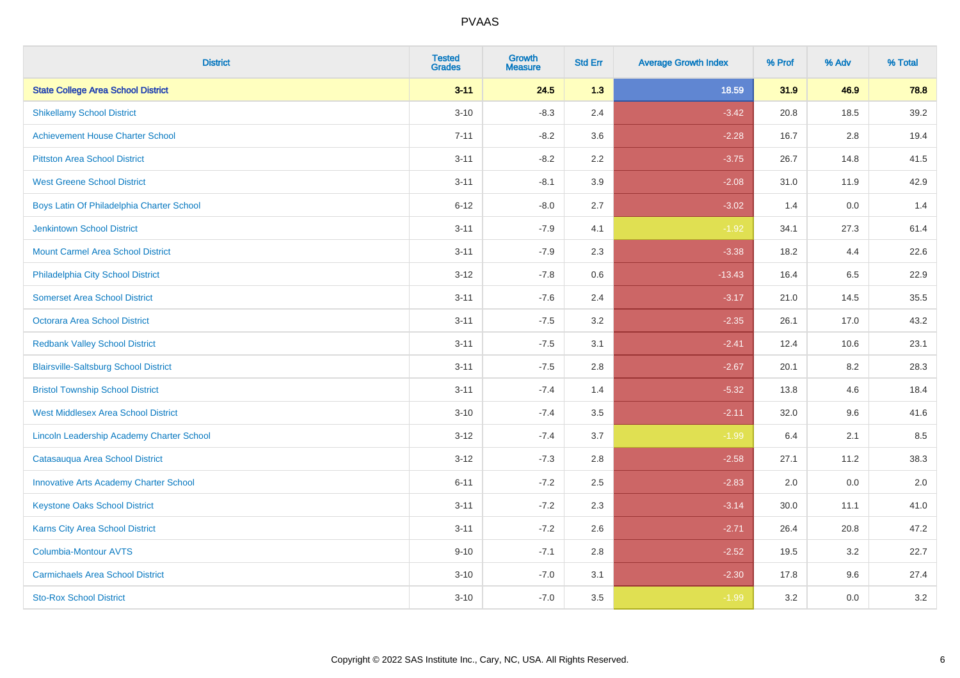| <b>District</b>                                  | <b>Tested</b><br><b>Grades</b> | <b>Growth</b><br><b>Measure</b> | <b>Std Err</b> | <b>Average Growth Index</b> | % Prof | % Adv   | % Total |
|--------------------------------------------------|--------------------------------|---------------------------------|----------------|-----------------------------|--------|---------|---------|
| <b>State College Area School District</b>        | $3 - 11$                       | 24.5                            | 1.3            | 18.59                       | 31.9   | 46.9    | 78.8    |
| <b>Shikellamy School District</b>                | $3 - 10$                       | $-8.3$                          | 2.4            | $-3.42$                     | 20.8   | 18.5    | 39.2    |
| <b>Achievement House Charter School</b>          | $7 - 11$                       | $-8.2$                          | 3.6            | $-2.28$                     | 16.7   | 2.8     | 19.4    |
| <b>Pittston Area School District</b>             | $3 - 11$                       | $-8.2$                          | 2.2            | $-3.75$                     | 26.7   | 14.8    | 41.5    |
| <b>West Greene School District</b>               | $3 - 11$                       | $-8.1$                          | 3.9            | $-2.08$                     | 31.0   | 11.9    | 42.9    |
| Boys Latin Of Philadelphia Charter School        | $6 - 12$                       | $-8.0$                          | 2.7            | $-3.02$                     | 1.4    | 0.0     | 1.4     |
| <b>Jenkintown School District</b>                | $3 - 11$                       | $-7.9$                          | 4.1            | $-1.92$                     | 34.1   | 27.3    | 61.4    |
| <b>Mount Carmel Area School District</b>         | $3 - 11$                       | $-7.9$                          | 2.3            | $-3.38$                     | 18.2   | 4.4     | 22.6    |
| Philadelphia City School District                | $3 - 12$                       | $-7.8$                          | 0.6            | $-13.43$                    | 16.4   | 6.5     | 22.9    |
| <b>Somerset Area School District</b>             | $3 - 11$                       | $-7.6$                          | 2.4            | $-3.17$                     | 21.0   | 14.5    | 35.5    |
| Octorara Area School District                    | $3 - 11$                       | $-7.5$                          | 3.2            | $-2.35$                     | 26.1   | 17.0    | 43.2    |
| <b>Redbank Valley School District</b>            | $3 - 11$                       | $-7.5$                          | 3.1            | $-2.41$                     | 12.4   | 10.6    | 23.1    |
| <b>Blairsville-Saltsburg School District</b>     | $3 - 11$                       | $-7.5$                          | 2.8            | $-2.67$                     | 20.1   | $8.2\,$ | 28.3    |
| <b>Bristol Township School District</b>          | $3 - 11$                       | $-7.4$                          | 1.4            | $-5.32$                     | 13.8   | 4.6     | 18.4    |
| <b>West Middlesex Area School District</b>       | $3 - 10$                       | $-7.4$                          | 3.5            | $-2.11$                     | 32.0   | 9.6     | 41.6    |
| <b>Lincoln Leadership Academy Charter School</b> | $3 - 12$                       | $-7.4$                          | 3.7            | $-1.99$                     | 6.4    | 2.1     | 8.5     |
| Catasauqua Area School District                  | $3 - 12$                       | $-7.3$                          | 2.8            | $-2.58$                     | 27.1   | 11.2    | 38.3    |
| <b>Innovative Arts Academy Charter School</b>    | $6 - 11$                       | $-7.2$                          | 2.5            | $-2.83$                     | 2.0    | 0.0     | 2.0     |
| <b>Keystone Oaks School District</b>             | $3 - 11$                       | $-7.2$                          | 2.3            | $-3.14$                     | 30.0   | 11.1    | 41.0    |
| Karns City Area School District                  | $3 - 11$                       | $-7.2$                          | 2.6            | $-2.71$                     | 26.4   | 20.8    | 47.2    |
| Columbia-Montour AVTS                            | $9 - 10$                       | $-7.1$                          | 2.8            | $-2.52$                     | 19.5   | 3.2     | 22.7    |
| <b>Carmichaels Area School District</b>          | $3 - 10$                       | $-7.0$                          | 3.1            | $-2.30$                     | 17.8   | 9.6     | 27.4    |
| <b>Sto-Rox School District</b>                   | $3 - 10$                       | $-7.0$                          | 3.5            | $-1.99$                     | 3.2    | 0.0     | 3.2     |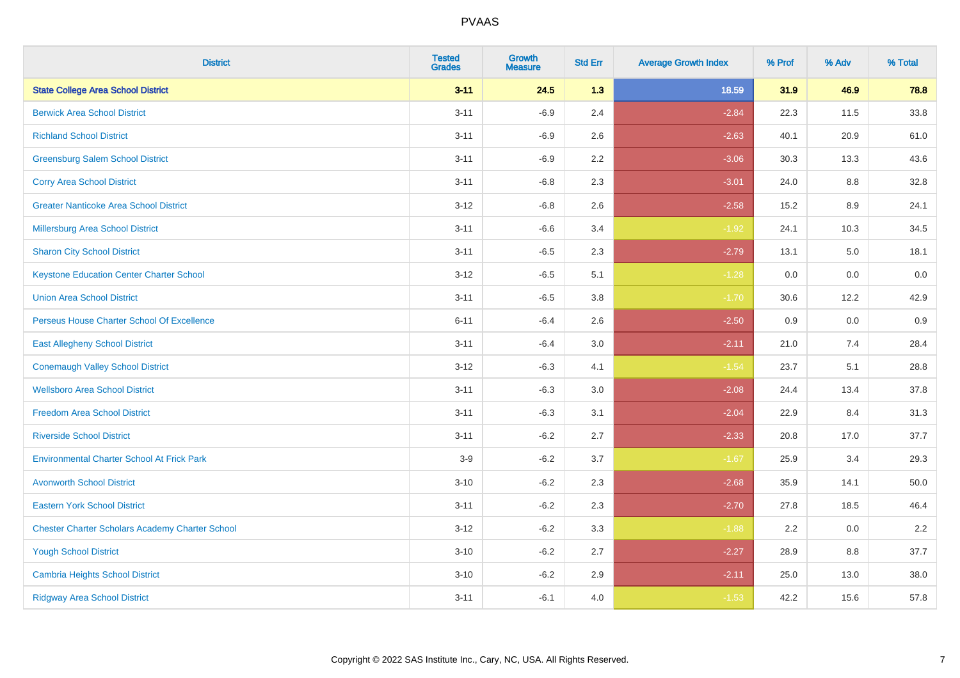| <b>District</b>                                        | <b>Tested</b><br><b>Grades</b> | <b>Growth</b><br><b>Measure</b> | <b>Std Err</b> | <b>Average Growth Index</b> | % Prof | % Adv | % Total |
|--------------------------------------------------------|--------------------------------|---------------------------------|----------------|-----------------------------|--------|-------|---------|
| <b>State College Area School District</b>              | $3 - 11$                       | 24.5                            | 1.3            | 18.59                       | 31.9   | 46.9  | 78.8    |
| <b>Berwick Area School District</b>                    | $3 - 11$                       | $-6.9$                          | 2.4            | $-2.84$                     | 22.3   | 11.5  | 33.8    |
| <b>Richland School District</b>                        | $3 - 11$                       | $-6.9$                          | 2.6            | $-2.63$                     | 40.1   | 20.9  | 61.0    |
| <b>Greensburg Salem School District</b>                | $3 - 11$                       | $-6.9$                          | 2.2            | $-3.06$                     | 30.3   | 13.3  | 43.6    |
| <b>Corry Area School District</b>                      | $3 - 11$                       | $-6.8$                          | 2.3            | $-3.01$                     | 24.0   | 8.8   | 32.8    |
| <b>Greater Nanticoke Area School District</b>          | $3 - 12$                       | $-6.8$                          | 2.6            | $-2.58$                     | 15.2   | 8.9   | 24.1    |
| <b>Millersburg Area School District</b>                | $3 - 11$                       | $-6.6$                          | 3.4            | $-1.92$                     | 24.1   | 10.3  | 34.5    |
| <b>Sharon City School District</b>                     | $3 - 11$                       | $-6.5$                          | 2.3            | $-2.79$                     | 13.1   | 5.0   | 18.1    |
| <b>Keystone Education Center Charter School</b>        | $3 - 12$                       | $-6.5$                          | 5.1            | $-1.28$                     | 0.0    | 0.0   | 0.0     |
| <b>Union Area School District</b>                      | $3 - 11$                       | $-6.5$                          | 3.8            | $-1.70$                     | 30.6   | 12.2  | 42.9    |
| Perseus House Charter School Of Excellence             | $6 - 11$                       | $-6.4$                          | 2.6            | $-2.50$                     | 0.9    | 0.0   | 0.9     |
| <b>East Allegheny School District</b>                  | $3 - 11$                       | $-6.4$                          | 3.0            | $-2.11$                     | 21.0   | 7.4   | 28.4    |
| <b>Conemaugh Valley School District</b>                | $3 - 12$                       | $-6.3$                          | 4.1            | $-1.54$                     | 23.7   | 5.1   | 28.8    |
| <b>Wellsboro Area School District</b>                  | $3 - 11$                       | $-6.3$                          | 3.0            | $-2.08$                     | 24.4   | 13.4  | 37.8    |
| <b>Freedom Area School District</b>                    | $3 - 11$                       | $-6.3$                          | 3.1            | $-2.04$                     | 22.9   | 8.4   | 31.3    |
| <b>Riverside School District</b>                       | $3 - 11$                       | $-6.2$                          | 2.7            | $-2.33$                     | 20.8   | 17.0  | 37.7    |
| <b>Environmental Charter School At Frick Park</b>      | $3-9$                          | $-6.2$                          | 3.7            | $-1.67$                     | 25.9   | 3.4   | 29.3    |
| <b>Avonworth School District</b>                       | $3 - 10$                       | $-6.2$                          | 2.3            | $-2.68$                     | 35.9   | 14.1  | 50.0    |
| <b>Eastern York School District</b>                    | $3 - 11$                       | $-6.2$                          | 2.3            | $-2.70$                     | 27.8   | 18.5  | 46.4    |
| <b>Chester Charter Scholars Academy Charter School</b> | $3 - 12$                       | $-6.2$                          | 3.3            | $-1.88$                     | 2.2    | 0.0   | 2.2     |
| <b>Yough School District</b>                           | $3 - 10$                       | $-6.2$                          | 2.7            | $-2.27$                     | 28.9   | 8.8   | 37.7    |
| <b>Cambria Heights School District</b>                 | $3 - 10$                       | $-6.2$                          | 2.9            | $-2.11$                     | 25.0   | 13.0  | 38.0    |
| <b>Ridgway Area School District</b>                    | $3 - 11$                       | $-6.1$                          | 4.0            | $-1.53$                     | 42.2   | 15.6  | 57.8    |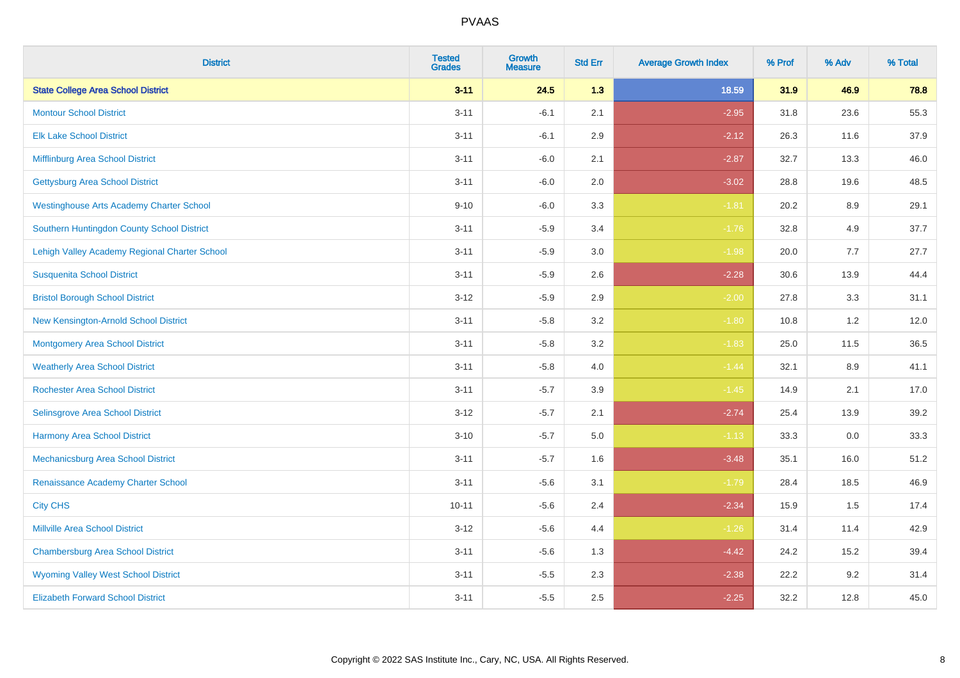| <b>District</b>                                 | <b>Tested</b><br><b>Grades</b> | <b>Growth</b><br><b>Measure</b> | <b>Std Err</b> | <b>Average Growth Index</b> | % Prof | % Adv | % Total |
|-------------------------------------------------|--------------------------------|---------------------------------|----------------|-----------------------------|--------|-------|---------|
| <b>State College Area School District</b>       | $3 - 11$                       | 24.5                            | 1.3            | 18.59                       | 31.9   | 46.9  | 78.8    |
| <b>Montour School District</b>                  | $3 - 11$                       | $-6.1$                          | 2.1            | $-2.95$                     | 31.8   | 23.6  | 55.3    |
| <b>Elk Lake School District</b>                 | $3 - 11$                       | $-6.1$                          | 2.9            | $-2.12$                     | 26.3   | 11.6  | 37.9    |
| Mifflinburg Area School District                | $3 - 11$                       | $-6.0$                          | 2.1            | $-2.87$                     | 32.7   | 13.3  | 46.0    |
| <b>Gettysburg Area School District</b>          | $3 - 11$                       | $-6.0$                          | 2.0            | $-3.02$                     | 28.8   | 19.6  | 48.5    |
| <b>Westinghouse Arts Academy Charter School</b> | $9 - 10$                       | $-6.0$                          | 3.3            | $-1.81$                     | 20.2   | 8.9   | 29.1    |
| Southern Huntingdon County School District      | $3 - 11$                       | $-5.9$                          | 3.4            | $-1.76$                     | 32.8   | 4.9   | 37.7    |
| Lehigh Valley Academy Regional Charter School   | $3 - 11$                       | $-5.9$                          | 3.0            | $-1.98$                     | 20.0   | 7.7   | 27.7    |
| <b>Susquenita School District</b>               | $3 - 11$                       | $-5.9$                          | 2.6            | $-2.28$                     | 30.6   | 13.9  | 44.4    |
| <b>Bristol Borough School District</b>          | $3 - 12$                       | $-5.9$                          | $2.9\,$        | $-2.00$                     | 27.8   | 3.3   | 31.1    |
| New Kensington-Arnold School District           | $3 - 11$                       | $-5.8$                          | 3.2            | $-1.80$                     | 10.8   | 1.2   | 12.0    |
| <b>Montgomery Area School District</b>          | $3 - 11$                       | $-5.8$                          | 3.2            | $-1.83$                     | 25.0   | 11.5  | 36.5    |
| <b>Weatherly Area School District</b>           | $3 - 11$                       | $-5.8$                          | 4.0            | $-1.44$                     | 32.1   | 8.9   | 41.1    |
| <b>Rochester Area School District</b>           | $3 - 11$                       | $-5.7$                          | 3.9            | $-1.45$                     | 14.9   | 2.1   | 17.0    |
| Selinsgrove Area School District                | $3 - 12$                       | $-5.7$                          | 2.1            | $-2.74$                     | 25.4   | 13.9  | 39.2    |
| <b>Harmony Area School District</b>             | $3 - 10$                       | $-5.7$                          | 5.0            | $-1.13$                     | 33.3   | 0.0   | 33.3    |
| Mechanicsburg Area School District              | $3 - 11$                       | $-5.7$                          | 1.6            | $-3.48$                     | 35.1   | 16.0  | 51.2    |
| Renaissance Academy Charter School              | $3 - 11$                       | $-5.6$                          | 3.1            | $-1.79$                     | 28.4   | 18.5  | 46.9    |
| <b>City CHS</b>                                 | $10 - 11$                      | $-5.6$                          | 2.4            | $-2.34$                     | 15.9   | 1.5   | 17.4    |
| <b>Millville Area School District</b>           | $3 - 12$                       | $-5.6$                          | 4.4            | $-1.26$                     | 31.4   | 11.4  | 42.9    |
| <b>Chambersburg Area School District</b>        | $3 - 11$                       | $-5.6$                          | 1.3            | $-4.42$                     | 24.2   | 15.2  | 39.4    |
| <b>Wyoming Valley West School District</b>      | $3 - 11$                       | $-5.5$                          | 2.3            | $-2.38$                     | 22.2   | 9.2   | 31.4    |
| <b>Elizabeth Forward School District</b>        | $3 - 11$                       | $-5.5$                          | 2.5            | $-2.25$                     | 32.2   | 12.8  | 45.0    |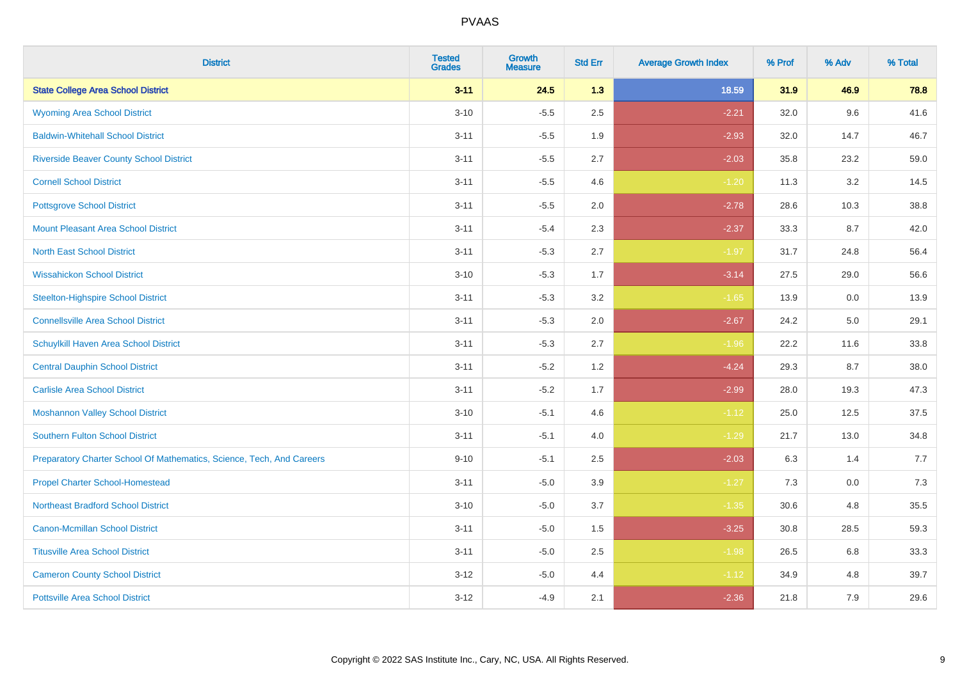| <b>District</b>                                                       | <b>Tested</b><br><b>Grades</b> | <b>Growth</b><br><b>Measure</b> | <b>Std Err</b> | <b>Average Growth Index</b> | % Prof | % Adv | % Total |
|-----------------------------------------------------------------------|--------------------------------|---------------------------------|----------------|-----------------------------|--------|-------|---------|
| <b>State College Area School District</b>                             | $3 - 11$                       | 24.5                            | 1.3            | 18.59                       | 31.9   | 46.9  | 78.8    |
| <b>Wyoming Area School District</b>                                   | $3 - 10$                       | $-5.5$                          | 2.5            | $-2.21$                     | 32.0   | 9.6   | 41.6    |
| <b>Baldwin-Whitehall School District</b>                              | $3 - 11$                       | $-5.5$                          | 1.9            | $-2.93$                     | 32.0   | 14.7  | 46.7    |
| <b>Riverside Beaver County School District</b>                        | $3 - 11$                       | $-5.5$                          | 2.7            | $-2.03$                     | 35.8   | 23.2  | 59.0    |
| <b>Cornell School District</b>                                        | $3 - 11$                       | $-5.5$                          | 4.6            | $-1.20$                     | 11.3   | 3.2   | 14.5    |
| <b>Pottsgrove School District</b>                                     | $3 - 11$                       | $-5.5$                          | 2.0            | $-2.78$                     | 28.6   | 10.3  | 38.8    |
| <b>Mount Pleasant Area School District</b>                            | $3 - 11$                       | $-5.4$                          | 2.3            | $-2.37$                     | 33.3   | 8.7   | 42.0    |
| <b>North East School District</b>                                     | $3 - 11$                       | $-5.3$                          | 2.7            | $-1.97$                     | 31.7   | 24.8  | 56.4    |
| <b>Wissahickon School District</b>                                    | $3 - 10$                       | $-5.3$                          | 1.7            | $-3.14$                     | 27.5   | 29.0  | 56.6    |
| <b>Steelton-Highspire School District</b>                             | $3 - 11$                       | $-5.3$                          | 3.2            | $-1.65$                     | 13.9   | 0.0   | 13.9    |
| <b>Connellsville Area School District</b>                             | $3 - 11$                       | $-5.3$                          | 2.0            | $-2.67$                     | 24.2   | 5.0   | 29.1    |
| Schuylkill Haven Area School District                                 | $3 - 11$                       | $-5.3$                          | 2.7            | $-1.96$                     | 22.2   | 11.6  | 33.8    |
| <b>Central Dauphin School District</b>                                | $3 - 11$                       | $-5.2$                          | 1.2            | $-4.24$                     | 29.3   | 8.7   | 38.0    |
| <b>Carlisle Area School District</b>                                  | $3 - 11$                       | $-5.2$                          | 1.7            | $-2.99$                     | 28.0   | 19.3  | 47.3    |
| <b>Moshannon Valley School District</b>                               | $3 - 10$                       | $-5.1$                          | 4.6            | $-1.12$                     | 25.0   | 12.5  | 37.5    |
| <b>Southern Fulton School District</b>                                | $3 - 11$                       | $-5.1$                          | 4.0            | $-1.29$                     | 21.7   | 13.0  | 34.8    |
| Preparatory Charter School Of Mathematics, Science, Tech, And Careers | $9 - 10$                       | $-5.1$                          | 2.5            | $-2.03$                     | 6.3    | 1.4   | 7.7     |
| <b>Propel Charter School-Homestead</b>                                | $3 - 11$                       | $-5.0$                          | 3.9            | $-1.27$                     | 7.3    | 0.0   | 7.3     |
| <b>Northeast Bradford School District</b>                             | $3 - 10$                       | $-5.0$                          | 3.7            | $-1.35$                     | 30.6   | 4.8   | 35.5    |
| <b>Canon-Mcmillan School District</b>                                 | $3 - 11$                       | $-5.0$                          | 1.5            | $-3.25$                     | 30.8   | 28.5  | 59.3    |
| <b>Titusville Area School District</b>                                | $3 - 11$                       | $-5.0$                          | 2.5            | $-1.98$                     | 26.5   | 6.8   | 33.3    |
| <b>Cameron County School District</b>                                 | $3 - 12$                       | $-5.0$                          | 4.4            | $-1.12$                     | 34.9   | 4.8   | 39.7    |
| <b>Pottsville Area School District</b>                                | $3 - 12$                       | $-4.9$                          | 2.1            | $-2.36$                     | 21.8   | 7.9   | 29.6    |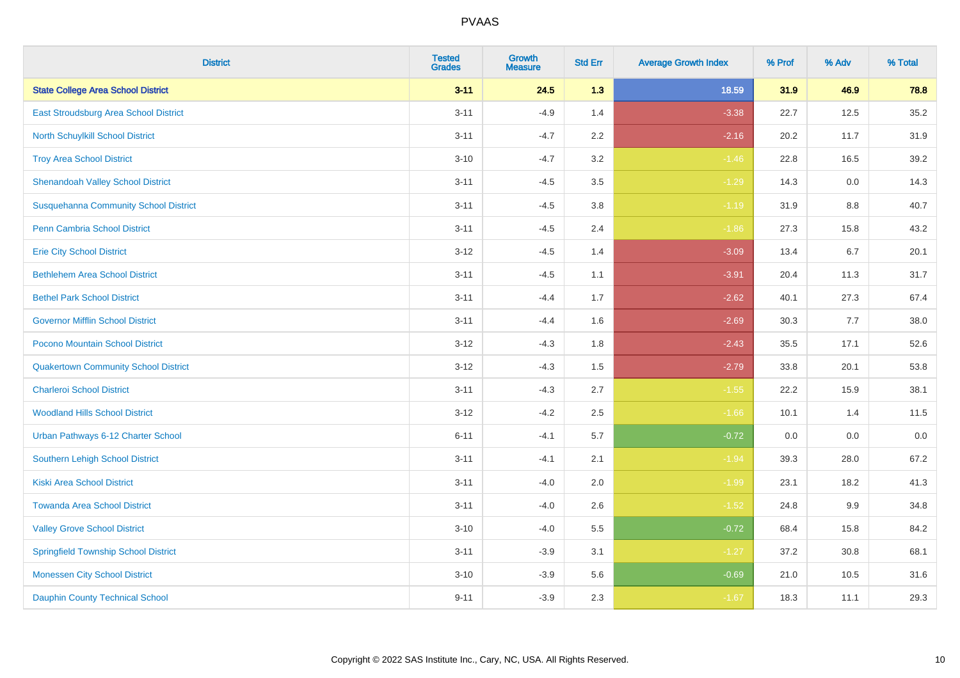| <b>District</b>                              | <b>Tested</b><br><b>Grades</b> | <b>Growth</b><br><b>Measure</b> | <b>Std Err</b> | <b>Average Growth Index</b> | % Prof | % Adv   | % Total |
|----------------------------------------------|--------------------------------|---------------------------------|----------------|-----------------------------|--------|---------|---------|
| <b>State College Area School District</b>    | $3 - 11$                       | 24.5                            | 1.3            | 18.59                       | 31.9   | 46.9    | 78.8    |
| East Stroudsburg Area School District        | $3 - 11$                       | $-4.9$                          | 1.4            | $-3.38$                     | 22.7   | 12.5    | 35.2    |
| <b>North Schuylkill School District</b>      | $3 - 11$                       | $-4.7$                          | 2.2            | $-2.16$                     | 20.2   | 11.7    | 31.9    |
| <b>Troy Area School District</b>             | $3 - 10$                       | $-4.7$                          | 3.2            | $-1.46$                     | 22.8   | 16.5    | 39.2    |
| <b>Shenandoah Valley School District</b>     | $3 - 11$                       | $-4.5$                          | 3.5            | $-1.29$                     | 14.3   | 0.0     | 14.3    |
| <b>Susquehanna Community School District</b> | $3 - 11$                       | $-4.5$                          | 3.8            | $-1.19$                     | 31.9   | 8.8     | 40.7    |
| <b>Penn Cambria School District</b>          | $3 - 11$                       | $-4.5$                          | 2.4            | $-1.86$                     | 27.3   | 15.8    | 43.2    |
| <b>Erie City School District</b>             | $3 - 12$                       | $-4.5$                          | 1.4            | $-3.09$                     | 13.4   | 6.7     | 20.1    |
| <b>Bethlehem Area School District</b>        | $3 - 11$                       | $-4.5$                          | 1.1            | $-3.91$                     | 20.4   | 11.3    | 31.7    |
| <b>Bethel Park School District</b>           | $3 - 11$                       | $-4.4$                          | 1.7            | $-2.62$                     | 40.1   | 27.3    | 67.4    |
| <b>Governor Mifflin School District</b>      | $3 - 11$                       | $-4.4$                          | 1.6            | $-2.69$                     | 30.3   | 7.7     | 38.0    |
| Pocono Mountain School District              | $3 - 12$                       | $-4.3$                          | 1.8            | $-2.43$                     | 35.5   | 17.1    | 52.6    |
| <b>Quakertown Community School District</b>  | $3 - 12$                       | $-4.3$                          | $1.5$          | $-2.79$                     | 33.8   | 20.1    | 53.8    |
| <b>Charleroi School District</b>             | $3 - 11$                       | $-4.3$                          | 2.7            | $-1.55$                     | 22.2   | 15.9    | 38.1    |
| <b>Woodland Hills School District</b>        | $3 - 12$                       | $-4.2$                          | 2.5            | $-1.66$                     | 10.1   | 1.4     | 11.5    |
| Urban Pathways 6-12 Charter School           | $6 - 11$                       | $-4.1$                          | 5.7            | $-0.72$                     | 0.0    | $0.0\,$ | $0.0\,$ |
| <b>Southern Lehigh School District</b>       | $3 - 11$                       | $-4.1$                          | 2.1            | $-1.94$                     | 39.3   | 28.0    | 67.2    |
| <b>Kiski Area School District</b>            | $3 - 11$                       | $-4.0$                          | 2.0            | $-1.99$                     | 23.1   | 18.2    | 41.3    |
| <b>Towanda Area School District</b>          | $3 - 11$                       | $-4.0$                          | 2.6            | $-1.52$                     | 24.8   | 9.9     | 34.8    |
| <b>Valley Grove School District</b>          | $3 - 10$                       | $-4.0$                          | 5.5            | $-0.72$                     | 68.4   | 15.8    | 84.2    |
| <b>Springfield Township School District</b>  | $3 - 11$                       | $-3.9$                          | 3.1            | $-1.27$                     | 37.2   | 30.8    | 68.1    |
| <b>Monessen City School District</b>         | $3 - 10$                       | $-3.9$                          | 5.6            | $-0.69$                     | 21.0   | 10.5    | 31.6    |
| <b>Dauphin County Technical School</b>       | $9 - 11$                       | $-3.9$                          | 2.3            | $-1.67$                     | 18.3   | 11.1    | 29.3    |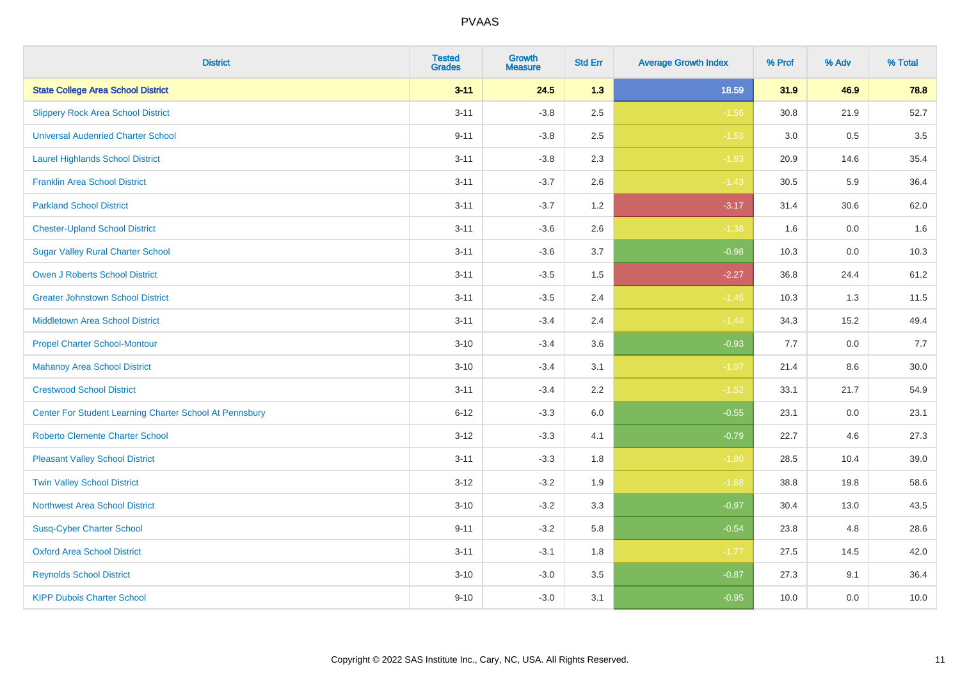| <b>District</b>                                         | <b>Tested</b><br><b>Grades</b> | <b>Growth</b><br><b>Measure</b> | <b>Std Err</b> | <b>Average Growth Index</b> | % Prof | % Adv   | % Total |
|---------------------------------------------------------|--------------------------------|---------------------------------|----------------|-----------------------------|--------|---------|---------|
| <b>State College Area School District</b>               | $3 - 11$                       | 24.5                            | 1.3            | 18.59                       | 31.9   | 46.9    | 78.8    |
| <b>Slippery Rock Area School District</b>               | $3 - 11$                       | $-3.8$                          | 2.5            | $-1.56$                     | 30.8   | 21.9    | 52.7    |
| <b>Universal Audenried Charter School</b>               | $9 - 11$                       | $-3.8$                          | 2.5            | $-1.53$                     | 3.0    | 0.5     | 3.5     |
| <b>Laurel Highlands School District</b>                 | $3 - 11$                       | $-3.8$                          | 2.3            | $-1.63$                     | 20.9   | 14.6    | 35.4    |
| <b>Franklin Area School District</b>                    | $3 - 11$                       | $-3.7$                          | 2.6            | $-1.43$                     | 30.5   | 5.9     | 36.4    |
| <b>Parkland School District</b>                         | $3 - 11$                       | $-3.7$                          | 1.2            | $-3.17$                     | 31.4   | 30.6    | 62.0    |
| <b>Chester-Upland School District</b>                   | $3 - 11$                       | $-3.6$                          | 2.6            | $-1.38$                     | 1.6    | $0.0\,$ | 1.6     |
| <b>Sugar Valley Rural Charter School</b>                | $3 - 11$                       | $-3.6$                          | 3.7            | $-0.98$                     | 10.3   | 0.0     | 10.3    |
| <b>Owen J Roberts School District</b>                   | $3 - 11$                       | $-3.5$                          | 1.5            | $-2.27$                     | 36.8   | 24.4    | 61.2    |
| <b>Greater Johnstown School District</b>                | $3 - 11$                       | $-3.5$                          | 2.4            | $-1.45$                     | 10.3   | 1.3     | 11.5    |
| <b>Middletown Area School District</b>                  | $3 - 11$                       | $-3.4$                          | 2.4            | $-1.44$                     | 34.3   | 15.2    | 49.4    |
| <b>Propel Charter School-Montour</b>                    | $3 - 10$                       | $-3.4$                          | 3.6            | $-0.93$                     | 7.7    | 0.0     | 7.7     |
| <b>Mahanoy Area School District</b>                     | $3 - 10$                       | $-3.4$                          | 3.1            | $-1.07$                     | 21.4   | $8.6\,$ | 30.0    |
| <b>Crestwood School District</b>                        | $3 - 11$                       | $-3.4$                          | 2.2            | $-1.52$                     | 33.1   | 21.7    | 54.9    |
| Center For Student Learning Charter School At Pennsbury | $6 - 12$                       | $-3.3$                          | 6.0            | $-0.55$                     | 23.1   | 0.0     | 23.1    |
| <b>Roberto Clemente Charter School</b>                  | $3 - 12$                       | $-3.3$                          | 4.1            | $-0.79$                     | 22.7   | 4.6     | 27.3    |
| <b>Pleasant Valley School District</b>                  | $3 - 11$                       | $-3.3$                          | 1.8            | $-1.80$                     | 28.5   | 10.4    | 39.0    |
| <b>Twin Valley School District</b>                      | $3 - 12$                       | $-3.2$                          | 1.9            | $-1.68$                     | 38.8   | 19.8    | 58.6    |
| <b>Northwest Area School District</b>                   | $3 - 10$                       | $-3.2$                          | 3.3            | $-0.97$                     | 30.4   | 13.0    | 43.5    |
| <b>Susq-Cyber Charter School</b>                        | $9 - 11$                       | $-3.2$                          | 5.8            | $-0.54$                     | 23.8   | 4.8     | 28.6    |
| <b>Oxford Area School District</b>                      | $3 - 11$                       | $-3.1$                          | 1.8            | $-1.77$                     | 27.5   | 14.5    | 42.0    |
| <b>Reynolds School District</b>                         | $3 - 10$                       | $-3.0$                          | 3.5            | $-0.87$                     | 27.3   | 9.1     | 36.4    |
| <b>KIPP Dubois Charter School</b>                       | $9 - 10$                       | $-3.0$                          | 3.1            | $-0.95$                     | 10.0   | 0.0     | 10.0    |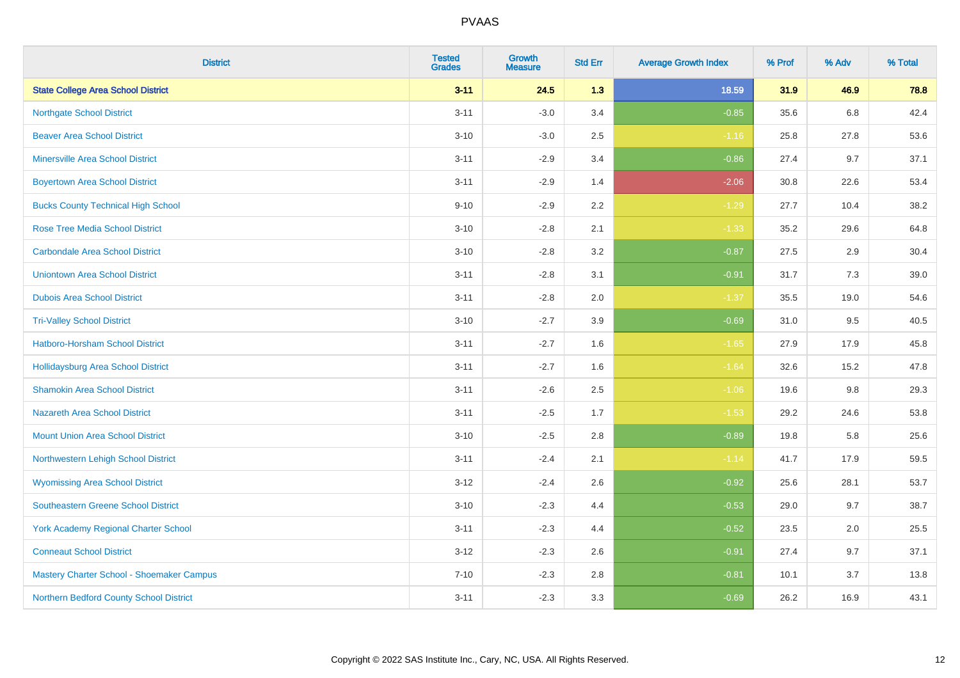| <b>District</b>                             | <b>Tested</b><br><b>Grades</b> | <b>Growth</b><br><b>Measure</b> | <b>Std Err</b> | <b>Average Growth Index</b> | % Prof | % Adv   | % Total |
|---------------------------------------------|--------------------------------|---------------------------------|----------------|-----------------------------|--------|---------|---------|
| <b>State College Area School District</b>   | $3 - 11$                       | 24.5                            | 1.3            | 18.59                       | 31.9   | 46.9    | 78.8    |
| <b>Northgate School District</b>            | $3 - 11$                       | $-3.0$                          | 3.4            | $-0.85$                     | 35.6   | $6.8\,$ | 42.4    |
| <b>Beaver Area School District</b>          | $3 - 10$                       | $-3.0$                          | 2.5            | $-1.16$                     | 25.8   | 27.8    | 53.6    |
| <b>Minersville Area School District</b>     | $3 - 11$                       | $-2.9$                          | 3.4            | $-0.86$                     | 27.4   | 9.7     | 37.1    |
| <b>Boyertown Area School District</b>       | $3 - 11$                       | $-2.9$                          | 1.4            | $-2.06$                     | 30.8   | 22.6    | 53.4    |
| <b>Bucks County Technical High School</b>   | $9 - 10$                       | $-2.9$                          | 2.2            | $-1.29$                     | 27.7   | 10.4    | 38.2    |
| <b>Rose Tree Media School District</b>      | $3 - 10$                       | $-2.8$                          | 2.1            | $-1.33$                     | 35.2   | 29.6    | 64.8    |
| <b>Carbondale Area School District</b>      | $3 - 10$                       | $-2.8$                          | 3.2            | $-0.87$                     | 27.5   | 2.9     | 30.4    |
| <b>Uniontown Area School District</b>       | $3 - 11$                       | $-2.8$                          | 3.1            | $-0.91$                     | 31.7   | 7.3     | 39.0    |
| <b>Dubois Area School District</b>          | $3 - 11$                       | $-2.8$                          | 2.0            | $-1.37$                     | 35.5   | 19.0    | 54.6    |
| <b>Tri-Valley School District</b>           | $3 - 10$                       | $-2.7$                          | 3.9            | $-0.69$                     | 31.0   | 9.5     | 40.5    |
| Hatboro-Horsham School District             | $3 - 11$                       | $-2.7$                          | 1.6            | $-1.65$                     | 27.9   | 17.9    | 45.8    |
| <b>Hollidaysburg Area School District</b>   | $3 - 11$                       | $-2.7$                          | 1.6            | $-1.64$                     | 32.6   | 15.2    | 47.8    |
| <b>Shamokin Area School District</b>        | $3 - 11$                       | $-2.6$                          | 2.5            | $-1.06$                     | 19.6   | 9.8     | 29.3    |
| <b>Nazareth Area School District</b>        | $3 - 11$                       | $-2.5$                          | 1.7            | $-1.53$                     | 29.2   | 24.6    | 53.8    |
| <b>Mount Union Area School District</b>     | $3 - 10$                       | $-2.5$                          | 2.8            | $-0.89$                     | 19.8   | 5.8     | 25.6    |
| Northwestern Lehigh School District         | $3 - 11$                       | $-2.4$                          | 2.1            | $-1.14$                     | 41.7   | 17.9    | 59.5    |
| <b>Wyomissing Area School District</b>      | $3 - 12$                       | $-2.4$                          | 2.6            | $-0.92$                     | 25.6   | 28.1    | 53.7    |
| <b>Southeastern Greene School District</b>  | $3 - 10$                       | $-2.3$                          | 4.4            | $-0.53$                     | 29.0   | 9.7     | 38.7    |
| <b>York Academy Regional Charter School</b> | $3 - 11$                       | $-2.3$                          | 4.4            | $-0.52$                     | 23.5   | 2.0     | 25.5    |
| <b>Conneaut School District</b>             | $3 - 12$                       | $-2.3$                          | 2.6            | $-0.91$                     | 27.4   | 9.7     | 37.1    |
| Mastery Charter School - Shoemaker Campus   | $7 - 10$                       | $-2.3$                          | 2.8            | $-0.81$                     | 10.1   | 3.7     | 13.8    |
| Northern Bedford County School District     | $3 - 11$                       | $-2.3$                          | 3.3            | $-0.69$                     | 26.2   | 16.9    | 43.1    |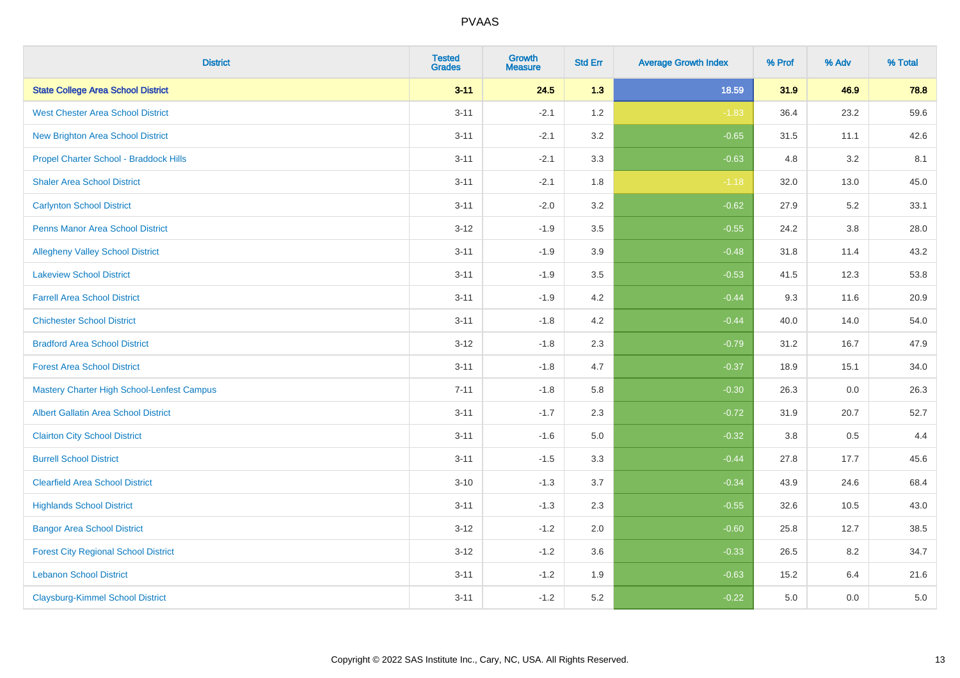| <b>District</b>                                   | <b>Tested</b><br><b>Grades</b> | <b>Growth</b><br><b>Measure</b> | <b>Std Err</b> | <b>Average Growth Index</b> | % Prof | % Adv   | % Total |
|---------------------------------------------------|--------------------------------|---------------------------------|----------------|-----------------------------|--------|---------|---------|
| <b>State College Area School District</b>         | $3 - 11$                       | 24.5                            | 1.3            | 18.59                       | 31.9   | 46.9    | 78.8    |
| <b>West Chester Area School District</b>          | $3 - 11$                       | $-2.1$                          | 1.2            | $-1.83$                     | 36.4   | 23.2    | 59.6    |
| <b>New Brighton Area School District</b>          | $3 - 11$                       | $-2.1$                          | 3.2            | $-0.65$                     | 31.5   | 11.1    | 42.6    |
| Propel Charter School - Braddock Hills            | $3 - 11$                       | $-2.1$                          | 3.3            | $-0.63$                     | 4.8    | 3.2     | 8.1     |
| <b>Shaler Area School District</b>                | $3 - 11$                       | $-2.1$                          | 1.8            | $-1.18$                     | 32.0   | 13.0    | 45.0    |
| <b>Carlynton School District</b>                  | $3 - 11$                       | $-2.0$                          | 3.2            | $-0.62$                     | 27.9   | 5.2     | 33.1    |
| <b>Penns Manor Area School District</b>           | $3 - 12$                       | $-1.9$                          | 3.5            | $-0.55$                     | 24.2   | $3.8\,$ | 28.0    |
| <b>Allegheny Valley School District</b>           | $3 - 11$                       | $-1.9$                          | 3.9            | $-0.48$                     | 31.8   | 11.4    | 43.2    |
| <b>Lakeview School District</b>                   | $3 - 11$                       | $-1.9$                          | 3.5            | $-0.53$                     | 41.5   | 12.3    | 53.8    |
| <b>Farrell Area School District</b>               | $3 - 11$                       | $-1.9$                          | 4.2            | $-0.44$                     | 9.3    | 11.6    | 20.9    |
| <b>Chichester School District</b>                 | $3 - 11$                       | $-1.8$                          | 4.2            | $-0.44$                     | 40.0   | 14.0    | 54.0    |
| <b>Bradford Area School District</b>              | $3 - 12$                       | $-1.8$                          | 2.3            | $-0.79$                     | 31.2   | 16.7    | 47.9    |
| <b>Forest Area School District</b>                | $3 - 11$                       | $-1.8$                          | 4.7            | $-0.37$                     | 18.9   | 15.1    | 34.0    |
| <b>Mastery Charter High School-Lenfest Campus</b> | $7 - 11$                       | $-1.8$                          | 5.8            | $-0.30$                     | 26.3   | 0.0     | 26.3    |
| <b>Albert Gallatin Area School District</b>       | $3 - 11$                       | $-1.7$                          | 2.3            | $-0.72$                     | 31.9   | 20.7    | 52.7    |
| <b>Clairton City School District</b>              | $3 - 11$                       | $-1.6$                          | 5.0            | $-0.32$                     | 3.8    | 0.5     | 4.4     |
| <b>Burrell School District</b>                    | $3 - 11$                       | $-1.5$                          | 3.3            | $-0.44$                     | 27.8   | 17.7    | 45.6    |
| <b>Clearfield Area School District</b>            | $3 - 10$                       | $-1.3$                          | 3.7            | $-0.34$                     | 43.9   | 24.6    | 68.4    |
| <b>Highlands School District</b>                  | $3 - 11$                       | $-1.3$                          | 2.3            | $-0.55$                     | 32.6   | 10.5    | 43.0    |
| <b>Bangor Area School District</b>                | $3 - 12$                       | $-1.2$                          | 2.0            | $-0.60$                     | 25.8   | 12.7    | 38.5    |
| <b>Forest City Regional School District</b>       | $3 - 12$                       | $-1.2$                          | 3.6            | $-0.33$                     | 26.5   | 8.2     | 34.7    |
| <b>Lebanon School District</b>                    | $3 - 11$                       | $-1.2$                          | 1.9            | $-0.63$                     | 15.2   | 6.4     | 21.6    |
| <b>Claysburg-Kimmel School District</b>           | $3 - 11$                       | $-1.2$                          | 5.2            | $-0.22$                     | 5.0    | 0.0     | 5.0     |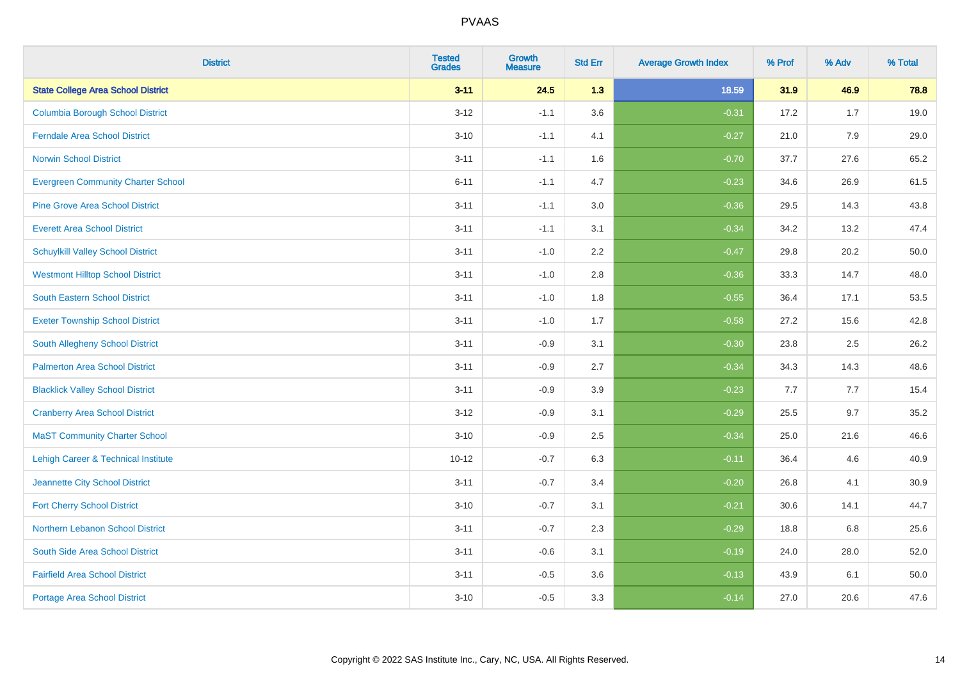| <b>District</b>                           | <b>Tested</b><br><b>Grades</b> | <b>Growth</b><br><b>Measure</b> | <b>Std Err</b> | <b>Average Growth Index</b> | % Prof | % Adv | % Total |
|-------------------------------------------|--------------------------------|---------------------------------|----------------|-----------------------------|--------|-------|---------|
| <b>State College Area School District</b> | $3 - 11$                       | 24.5                            | 1.3            | 18.59                       | 31.9   | 46.9  | 78.8    |
| <b>Columbia Borough School District</b>   | $3 - 12$                       | $-1.1$                          | 3.6            | $-0.31$                     | 17.2   | 1.7   | 19.0    |
| <b>Ferndale Area School District</b>      | $3 - 10$                       | $-1.1$                          | 4.1            | $-0.27$                     | 21.0   | 7.9   | 29.0    |
| <b>Norwin School District</b>             | $3 - 11$                       | $-1.1$                          | 1.6            | $-0.70$                     | 37.7   | 27.6  | 65.2    |
| <b>Evergreen Community Charter School</b> | $6 - 11$                       | $-1.1$                          | 4.7            | $-0.23$                     | 34.6   | 26.9  | 61.5    |
| <b>Pine Grove Area School District</b>    | $3 - 11$                       | $-1.1$                          | 3.0            | $-0.36$                     | 29.5   | 14.3  | 43.8    |
| <b>Everett Area School District</b>       | $3 - 11$                       | $-1.1$                          | 3.1            | $-0.34$                     | 34.2   | 13.2  | 47.4    |
| <b>Schuylkill Valley School District</b>  | $3 - 11$                       | $-1.0$                          | 2.2            | $-0.47$                     | 29.8   | 20.2  | 50.0    |
| <b>Westmont Hilltop School District</b>   | $3 - 11$                       | $-1.0$                          | 2.8            | $-0.36$                     | 33.3   | 14.7  | 48.0    |
| South Eastern School District             | $3 - 11$                       | $-1.0$                          | 1.8            | $-0.55$                     | 36.4   | 17.1  | 53.5    |
| <b>Exeter Township School District</b>    | $3 - 11$                       | $-1.0$                          | 1.7            | $-0.58$                     | 27.2   | 15.6  | 42.8    |
| South Allegheny School District           | $3 - 11$                       | $-0.9$                          | 3.1            | $-0.30$                     | 23.8   | 2.5   | 26.2    |
| <b>Palmerton Area School District</b>     | $3 - 11$                       | $-0.9$                          | 2.7            | $-0.34$                     | 34.3   | 14.3  | 48.6    |
| <b>Blacklick Valley School District</b>   | $3 - 11$                       | $-0.9$                          | 3.9            | $-0.23$                     | 7.7    | 7.7   | 15.4    |
| <b>Cranberry Area School District</b>     | $3 - 12$                       | $-0.9$                          | 3.1            | $-0.29$                     | 25.5   | 9.7   | 35.2    |
| <b>MaST Community Charter School</b>      | $3 - 10$                       | $-0.9$                          | 2.5            | $-0.34$                     | 25.0   | 21.6  | 46.6    |
| Lehigh Career & Technical Institute       | $10 - 12$                      | $-0.7$                          | 6.3            | $-0.11$                     | 36.4   | 4.6   | 40.9    |
| Jeannette City School District            | $3 - 11$                       | $-0.7$                          | 3.4            | $-0.20$                     | 26.8   | 4.1   | 30.9    |
| <b>Fort Cherry School District</b>        | $3 - 10$                       | $-0.7$                          | 3.1            | $-0.21$                     | 30.6   | 14.1  | 44.7    |
| Northern Lebanon School District          | $3 - 11$                       | $-0.7$                          | 2.3            | $-0.29$                     | 18.8   | 6.8   | 25.6    |
| South Side Area School District           | $3 - 11$                       | $-0.6$                          | 3.1            | $-0.19$                     | 24.0   | 28.0  | 52.0    |
| <b>Fairfield Area School District</b>     | $3 - 11$                       | $-0.5$                          | 3.6            | $-0.13$                     | 43.9   | 6.1   | 50.0    |
| <b>Portage Area School District</b>       | $3 - 10$                       | $-0.5$                          | 3.3            | $-0.14$                     | 27.0   | 20.6  | 47.6    |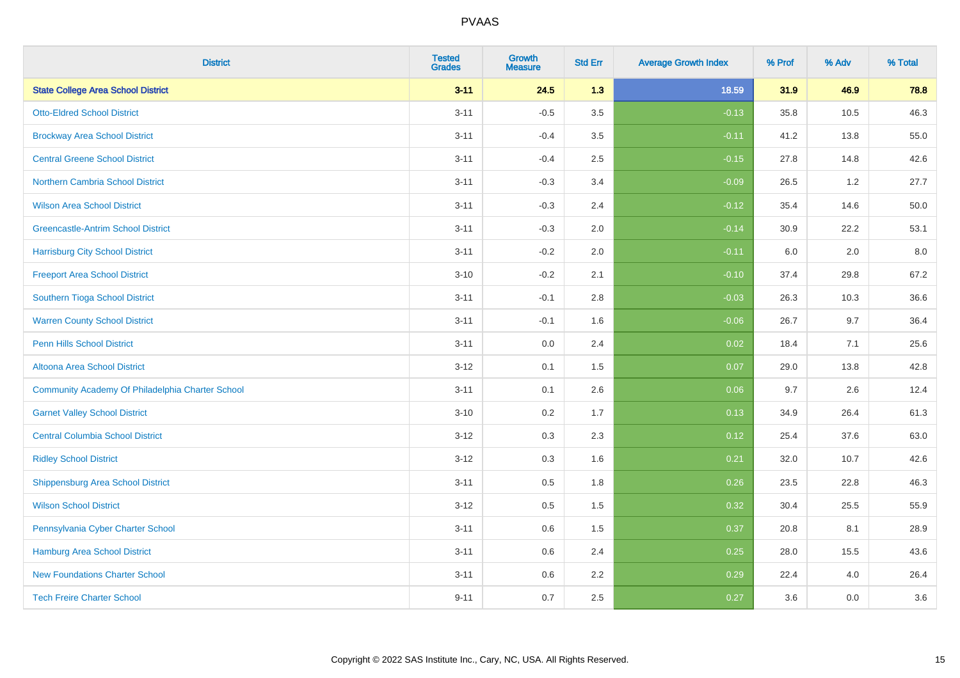| <b>District</b>                                  | <b>Tested</b><br><b>Grades</b> | <b>Growth</b><br><b>Measure</b> | <b>Std Err</b> | <b>Average Growth Index</b> | % Prof | % Adv | % Total |
|--------------------------------------------------|--------------------------------|---------------------------------|----------------|-----------------------------|--------|-------|---------|
| <b>State College Area School District</b>        | $3 - 11$                       | 24.5                            | 1.3            | 18.59                       | 31.9   | 46.9  | 78.8    |
| <b>Otto-Eldred School District</b>               | $3 - 11$                       | $-0.5$                          | 3.5            | $-0.13$                     | 35.8   | 10.5  | 46.3    |
| <b>Brockway Area School District</b>             | $3 - 11$                       | $-0.4$                          | 3.5            | $-0.11$                     | 41.2   | 13.8  | 55.0    |
| <b>Central Greene School District</b>            | $3 - 11$                       | $-0.4$                          | 2.5            | $-0.15$                     | 27.8   | 14.8  | 42.6    |
| <b>Northern Cambria School District</b>          | $3 - 11$                       | $-0.3$                          | 3.4            | $-0.09$                     | 26.5   | 1.2   | 27.7    |
| <b>Wilson Area School District</b>               | $3 - 11$                       | $-0.3$                          | 2.4            | $-0.12$                     | 35.4   | 14.6  | 50.0    |
| <b>Greencastle-Antrim School District</b>        | $3 - 11$                       | $-0.3$                          | 2.0            | $-0.14$                     | 30.9   | 22.2  | 53.1    |
| <b>Harrisburg City School District</b>           | $3 - 11$                       | $-0.2$                          | 2.0            | $-0.11$                     | 6.0    | 2.0   | 8.0     |
| <b>Freeport Area School District</b>             | $3 - 10$                       | $-0.2$                          | 2.1            | $-0.10$                     | 37.4   | 29.8  | 67.2    |
| Southern Tioga School District                   | $3 - 11$                       | $-0.1$                          | 2.8            | $-0.03$                     | 26.3   | 10.3  | 36.6    |
| <b>Warren County School District</b>             | $3 - 11$                       | $-0.1$                          | 1.6            | $-0.06$                     | 26.7   | 9.7   | 36.4    |
| <b>Penn Hills School District</b>                | $3 - 11$                       | 0.0                             | 2.4            | 0.02                        | 18.4   | 7.1   | 25.6    |
| Altoona Area School District                     | $3 - 12$                       | 0.1                             | 1.5            | 0.07                        | 29.0   | 13.8  | 42.8    |
| Community Academy Of Philadelphia Charter School | $3 - 11$                       | 0.1                             | 2.6            | 0.06                        | 9.7    | 2.6   | 12.4    |
| <b>Garnet Valley School District</b>             | $3 - 10$                       | 0.2                             | 1.7            | 0.13                        | 34.9   | 26.4  | 61.3    |
| <b>Central Columbia School District</b>          | $3 - 12$                       | 0.3                             | 2.3            | 0.12                        | 25.4   | 37.6  | 63.0    |
| <b>Ridley School District</b>                    | $3 - 12$                       | 0.3                             | 1.6            | 0.21                        | 32.0   | 10.7  | 42.6    |
| <b>Shippensburg Area School District</b>         | $3 - 11$                       | 0.5                             | 1.8            | 0.26                        | 23.5   | 22.8  | 46.3    |
| <b>Wilson School District</b>                    | $3 - 12$                       | 0.5                             | 1.5            | 0.32                        | 30.4   | 25.5  | 55.9    |
| Pennsylvania Cyber Charter School                | $3 - 11$                       | 0.6                             | 1.5            | 0.37                        | 20.8   | 8.1   | 28.9    |
| <b>Hamburg Area School District</b>              | $3 - 11$                       | 0.6                             | 2.4            | 0.25                        | 28.0   | 15.5  | 43.6    |
| <b>New Foundations Charter School</b>            | $3 - 11$                       | 0.6                             | 2.2            | 0.29                        | 22.4   | 4.0   | 26.4    |
| <b>Tech Freire Charter School</b>                | $9 - 11$                       | 0.7                             | 2.5            | 0.27                        | 3.6    | 0.0   | 3.6     |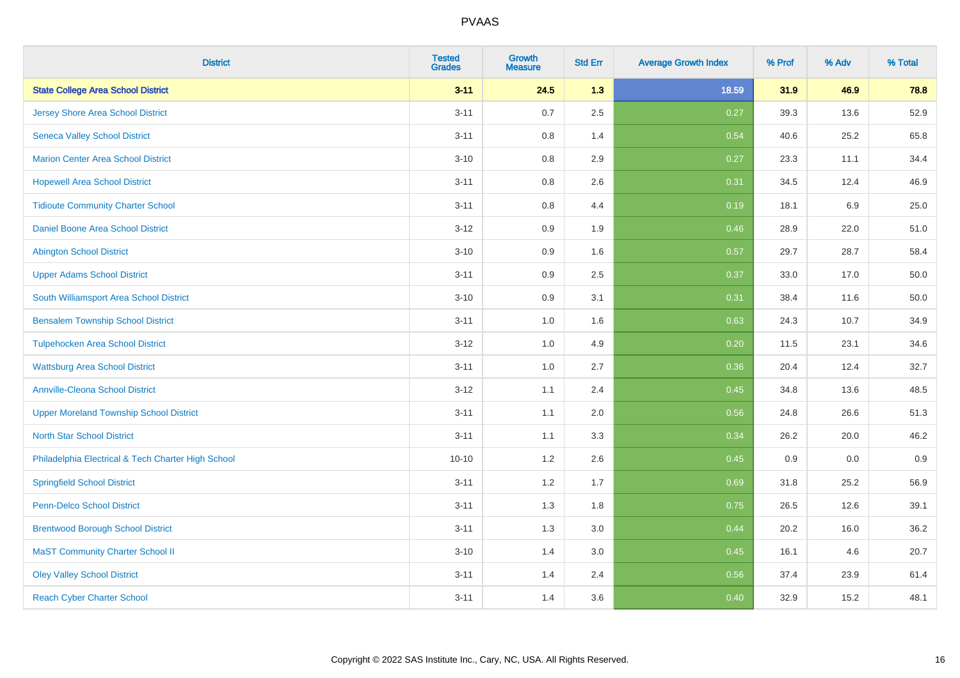| <b>District</b>                                    | <b>Tested</b><br><b>Grades</b> | <b>Growth</b><br><b>Measure</b> | <b>Std Err</b> | <b>Average Growth Index</b> | % Prof | % Adv | % Total |
|----------------------------------------------------|--------------------------------|---------------------------------|----------------|-----------------------------|--------|-------|---------|
| <b>State College Area School District</b>          | $3 - 11$                       | 24.5                            | 1.3            | 18.59                       | 31.9   | 46.9  | 78.8    |
| <b>Jersey Shore Area School District</b>           | $3 - 11$                       | 0.7                             | 2.5            | 0.27                        | 39.3   | 13.6  | 52.9    |
| <b>Seneca Valley School District</b>               | $3 - 11$                       | 0.8                             | 1.4            | 0.54                        | 40.6   | 25.2  | 65.8    |
| <b>Marion Center Area School District</b>          | $3 - 10$                       | 0.8                             | 2.9            | 0.27                        | 23.3   | 11.1  | 34.4    |
| <b>Hopewell Area School District</b>               | $3 - 11$                       | 0.8                             | 2.6            | 0.31                        | 34.5   | 12.4  | 46.9    |
| <b>Tidioute Community Charter School</b>           | $3 - 11$                       | 0.8                             | 4.4            | 0.19                        | 18.1   | 6.9   | 25.0    |
| Daniel Boone Area School District                  | $3 - 12$                       | 0.9                             | 1.9            | 0.46                        | 28.9   | 22.0  | 51.0    |
| <b>Abington School District</b>                    | $3 - 10$                       | 0.9                             | 1.6            | 0.57                        | 29.7   | 28.7  | 58.4    |
| <b>Upper Adams School District</b>                 | $3 - 11$                       | 0.9                             | 2.5            | 0.37                        | 33.0   | 17.0  | 50.0    |
| South Williamsport Area School District            | $3 - 10$                       | 0.9                             | 3.1            | 0.31                        | 38.4   | 11.6  | 50.0    |
| <b>Bensalem Township School District</b>           | $3 - 11$                       | 1.0                             | 1.6            | 0.63                        | 24.3   | 10.7  | 34.9    |
| <b>Tulpehocken Area School District</b>            | $3 - 12$                       | 1.0                             | 4.9            | 0.20                        | 11.5   | 23.1  | 34.6    |
| <b>Wattsburg Area School District</b>              | $3 - 11$                       | $1.0\,$                         | 2.7            | 0.36                        | 20.4   | 12.4  | 32.7    |
| <b>Annville-Cleona School District</b>             | $3 - 12$                       | 1.1                             | 2.4            | 0.45                        | 34.8   | 13.6  | 48.5    |
| <b>Upper Moreland Township School District</b>     | $3 - 11$                       | 1.1                             | 2.0            | 0.56                        | 24.8   | 26.6  | 51.3    |
| <b>North Star School District</b>                  | $3 - 11$                       | 1.1                             | 3.3            | 0.34                        | 26.2   | 20.0  | 46.2    |
| Philadelphia Electrical & Tech Charter High School | $10 - 10$                      | 1.2                             | 2.6            | 0.45                        | 0.9    | 0.0   | 0.9     |
| <b>Springfield School District</b>                 | $3 - 11$                       | 1.2                             | 1.7            | 0.69                        | 31.8   | 25.2  | 56.9    |
| <b>Penn-Delco School District</b>                  | $3 - 11$                       | 1.3                             | 1.8            | 0.75                        | 26.5   | 12.6  | 39.1    |
| <b>Brentwood Borough School District</b>           | $3 - 11$                       | 1.3                             | 3.0            | 0.44                        | 20.2   | 16.0  | 36.2    |
| <b>MaST Community Charter School II</b>            | $3 - 10$                       | 1.4                             | 3.0            | 0.45                        | 16.1   | 4.6   | 20.7    |
| <b>Oley Valley School District</b>                 | $3 - 11$                       | 1.4                             | 2.4            | 0.56                        | 37.4   | 23.9  | 61.4    |
| <b>Reach Cyber Charter School</b>                  | $3 - 11$                       | 1.4                             | 3.6            | 0.40                        | 32.9   | 15.2  | 48.1    |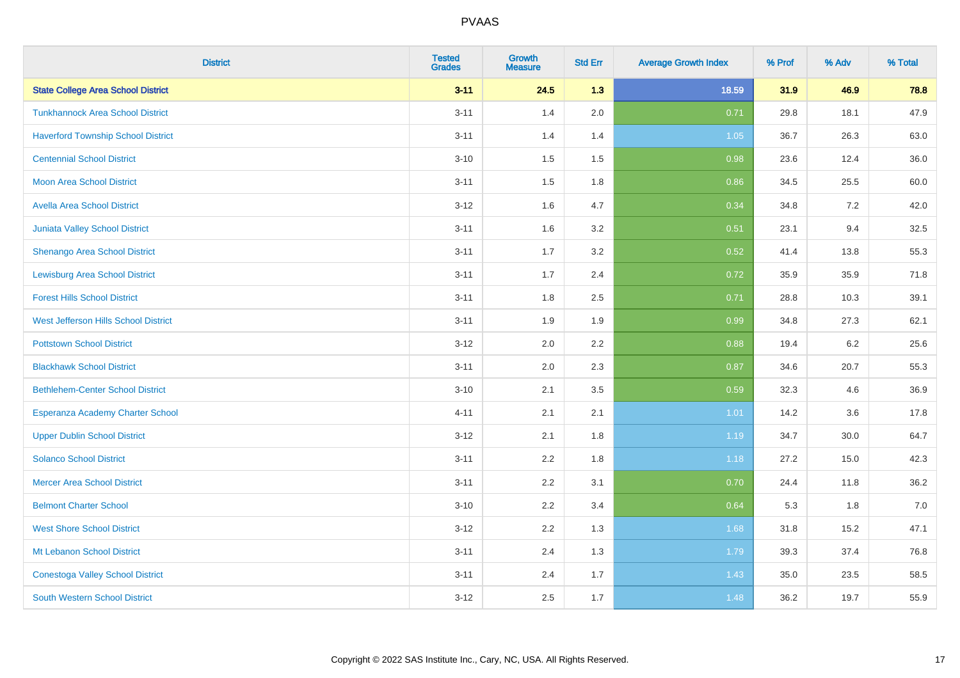| <b>District</b>                           | <b>Tested</b><br><b>Grades</b> | <b>Growth</b><br><b>Measure</b> | <b>Std Err</b> | <b>Average Growth Index</b> | % Prof | % Adv | % Total |
|-------------------------------------------|--------------------------------|---------------------------------|----------------|-----------------------------|--------|-------|---------|
| <b>State College Area School District</b> | $3 - 11$                       | 24.5                            | 1.3            | 18.59                       | 31.9   | 46.9  | 78.8    |
| <b>Tunkhannock Area School District</b>   | $3 - 11$                       | 1.4                             | 2.0            | 0.71                        | 29.8   | 18.1  | 47.9    |
| <b>Haverford Township School District</b> | $3 - 11$                       | 1.4                             | 1.4            | 1.05                        | 36.7   | 26.3  | 63.0    |
| <b>Centennial School District</b>         | $3 - 10$                       | 1.5                             | 1.5            | 0.98                        | 23.6   | 12.4  | 36.0    |
| <b>Moon Area School District</b>          | $3 - 11$                       | 1.5                             | 1.8            | 0.86                        | 34.5   | 25.5  | 60.0    |
| <b>Avella Area School District</b>        | $3 - 12$                       | 1.6                             | 4.7            | 0.34                        | 34.8   | 7.2   | 42.0    |
| <b>Juniata Valley School District</b>     | $3 - 11$                       | 1.6                             | 3.2            | 0.51                        | 23.1   | 9.4   | 32.5    |
| <b>Shenango Area School District</b>      | $3 - 11$                       | 1.7                             | 3.2            | 0.52                        | 41.4   | 13.8  | 55.3    |
| <b>Lewisburg Area School District</b>     | $3 - 11$                       | 1.7                             | 2.4            | 0.72                        | 35.9   | 35.9  | 71.8    |
| <b>Forest Hills School District</b>       | $3 - 11$                       | 1.8                             | 2.5            | 0.71                        | 28.8   | 10.3  | 39.1    |
| West Jefferson Hills School District      | $3 - 11$                       | 1.9                             | 1.9            | 0.99                        | 34.8   | 27.3  | 62.1    |
| <b>Pottstown School District</b>          | $3 - 12$                       | 2.0                             | 2.2            | 0.88                        | 19.4   | 6.2   | 25.6    |
| <b>Blackhawk School District</b>          | $3 - 11$                       | 2.0                             | 2.3            | 0.87                        | 34.6   | 20.7  | 55.3    |
| <b>Bethlehem-Center School District</b>   | $3 - 10$                       | 2.1                             | 3.5            | 0.59                        | 32.3   | 4.6   | 36.9    |
| Esperanza Academy Charter School          | $4 - 11$                       | 2.1                             | 2.1            | 1.01                        | 14.2   | 3.6   | 17.8    |
| <b>Upper Dublin School District</b>       | $3 - 12$                       | 2.1                             | 1.8            | 1.19                        | 34.7   | 30.0  | 64.7    |
| <b>Solanco School District</b>            | $3 - 11$                       | 2.2                             | 1.8            | 1.18                        | 27.2   | 15.0  | 42.3    |
| <b>Mercer Area School District</b>        | $3 - 11$                       | 2.2                             | 3.1            | 0.70                        | 24.4   | 11.8  | 36.2    |
| <b>Belmont Charter School</b>             | $3 - 10$                       | 2.2                             | 3.4            | 0.64                        | 5.3    | 1.8   | $7.0$   |
| <b>West Shore School District</b>         | $3 - 12$                       | 2.2                             | 1.3            | 1.68                        | 31.8   | 15.2  | 47.1    |
| Mt Lebanon School District                | $3 - 11$                       | 2.4                             | 1.3            | 1.79                        | 39.3   | 37.4  | 76.8    |
| <b>Conestoga Valley School District</b>   | $3 - 11$                       | 2.4                             | 1.7            | 1.43                        | 35.0   | 23.5  | 58.5    |
| <b>South Western School District</b>      | $3 - 12$                       | 2.5                             | 1.7            | 1.48                        | 36.2   | 19.7  | 55.9    |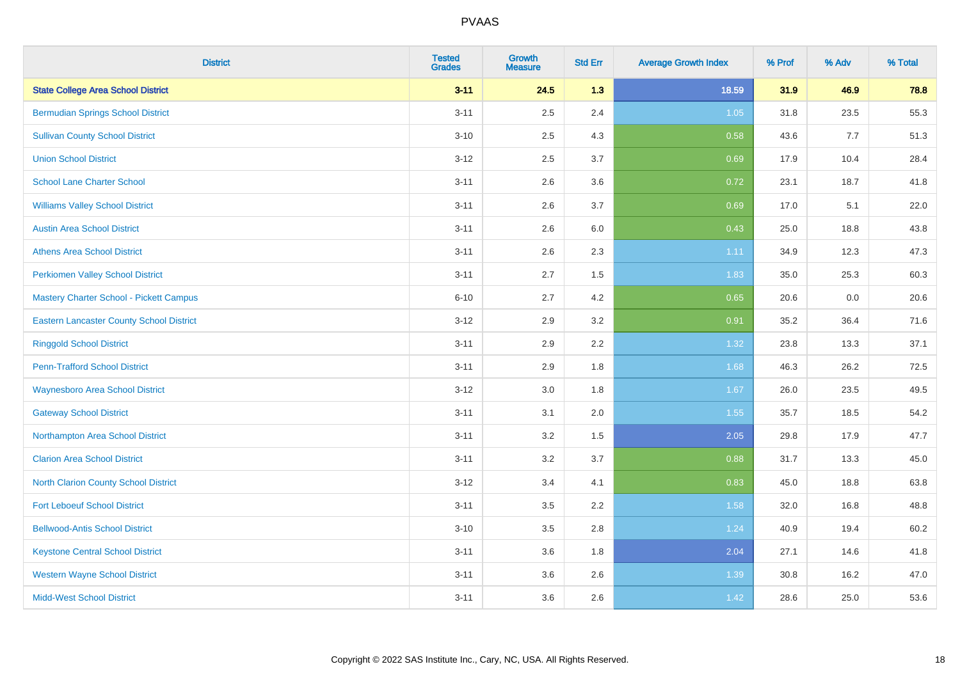| <b>District</b>                                 | <b>Tested</b><br><b>Grades</b> | <b>Growth</b><br><b>Measure</b> | <b>Std Err</b> | <b>Average Growth Index</b> | % Prof | % Adv | % Total |
|-------------------------------------------------|--------------------------------|---------------------------------|----------------|-----------------------------|--------|-------|---------|
| <b>State College Area School District</b>       | $3 - 11$                       | 24.5                            | 1.3            | 18.59                       | 31.9   | 46.9  | 78.8    |
| <b>Bermudian Springs School District</b>        | $3 - 11$                       | 2.5                             | 2.4            | $1.05$                      | 31.8   | 23.5  | 55.3    |
| <b>Sullivan County School District</b>          | $3 - 10$                       | 2.5                             | 4.3            | 0.58                        | 43.6   | 7.7   | 51.3    |
| <b>Union School District</b>                    | $3 - 12$                       | 2.5                             | 3.7            | 0.69                        | 17.9   | 10.4  | 28.4    |
| <b>School Lane Charter School</b>               | $3 - 11$                       | 2.6                             | 3.6            | 0.72                        | 23.1   | 18.7  | 41.8    |
| <b>Williams Valley School District</b>          | $3 - 11$                       | 2.6                             | 3.7            | 0.69                        | 17.0   | 5.1   | 22.0    |
| <b>Austin Area School District</b>              | $3 - 11$                       | 2.6                             | 6.0            | 0.43                        | 25.0   | 18.8  | 43.8    |
| <b>Athens Area School District</b>              | $3 - 11$                       | 2.6                             | 2.3            | 1.11                        | 34.9   | 12.3  | 47.3    |
| <b>Perkiomen Valley School District</b>         | $3 - 11$                       | 2.7                             | 1.5            | 1.83                        | 35.0   | 25.3  | 60.3    |
| Mastery Charter School - Pickett Campus         | $6 - 10$                       | 2.7                             | 4.2            | 0.65                        | 20.6   | 0.0   | 20.6    |
| <b>Eastern Lancaster County School District</b> | $3 - 12$                       | 2.9                             | 3.2            | 0.91                        | 35.2   | 36.4  | 71.6    |
| <b>Ringgold School District</b>                 | $3 - 11$                       | 2.9                             | 2.2            | 1.32                        | 23.8   | 13.3  | 37.1    |
| <b>Penn-Trafford School District</b>            | $3 - 11$                       | 2.9                             | 1.8            | 1.68                        | 46.3   | 26.2  | 72.5    |
| <b>Waynesboro Area School District</b>          | $3 - 12$                       | $3.0\,$                         | 1.8            | 1.67                        | 26.0   | 23.5  | 49.5    |
| <b>Gateway School District</b>                  | $3 - 11$                       | 3.1                             | 2.0            | 1.55                        | 35.7   | 18.5  | 54.2    |
| Northampton Area School District                | $3 - 11$                       | 3.2                             | 1.5            | 2.05                        | 29.8   | 17.9  | 47.7    |
| <b>Clarion Area School District</b>             | $3 - 11$                       | 3.2                             | 3.7            | 0.88                        | 31.7   | 13.3  | 45.0    |
| North Clarion County School District            | $3 - 12$                       | 3.4                             | 4.1            | 0.83                        | 45.0   | 18.8  | 63.8    |
| <b>Fort Leboeuf School District</b>             | $3 - 11$                       | 3.5                             | 2.2            | 1.58                        | 32.0   | 16.8  | 48.8    |
| <b>Bellwood-Antis School District</b>           | $3 - 10$                       | 3.5                             | 2.8            | 1.24                        | 40.9   | 19.4  | 60.2    |
| <b>Keystone Central School District</b>         | $3 - 11$                       | 3.6                             | 1.8            | 2.04                        | 27.1   | 14.6  | 41.8    |
| <b>Western Wayne School District</b>            | $3 - 11$                       | 3.6                             | 2.6            | 1.39                        | 30.8   | 16.2  | 47.0    |
| <b>Midd-West School District</b>                | $3 - 11$                       | 3.6                             | 2.6            | 1.42                        | 28.6   | 25.0  | 53.6    |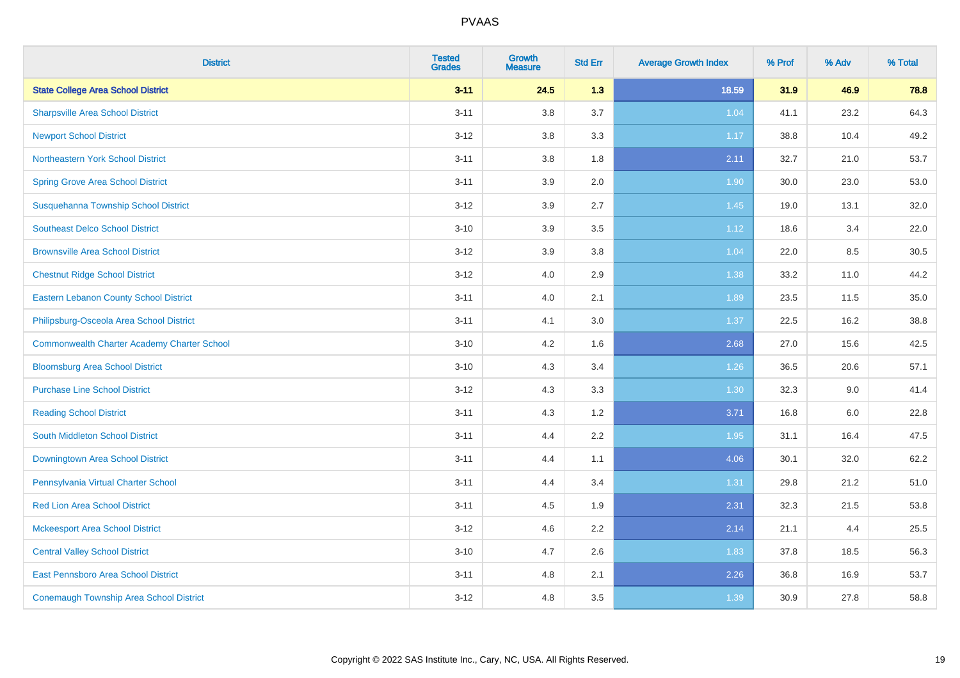| <b>District</b>                                    | <b>Tested</b><br><b>Grades</b> | <b>Growth</b><br><b>Measure</b> | <b>Std Err</b> | <b>Average Growth Index</b> | % Prof | % Adv | % Total |
|----------------------------------------------------|--------------------------------|---------------------------------|----------------|-----------------------------|--------|-------|---------|
| <b>State College Area School District</b>          | $3 - 11$                       | 24.5                            | 1.3            | 18.59                       | 31.9   | 46.9  | 78.8    |
| <b>Sharpsville Area School District</b>            | $3 - 11$                       | 3.8                             | 3.7            | 1.04                        | 41.1   | 23.2  | 64.3    |
| <b>Newport School District</b>                     | $3 - 12$                       | 3.8                             | 3.3            | 1.17                        | 38.8   | 10.4  | 49.2    |
| Northeastern York School District                  | $3 - 11$                       | 3.8                             | 1.8            | 2.11                        | 32.7   | 21.0  | 53.7    |
| <b>Spring Grove Area School District</b>           | $3 - 11$                       | 3.9                             | 2.0            | 1.90                        | 30.0   | 23.0  | 53.0    |
| Susquehanna Township School District               | $3 - 12$                       | 3.9                             | 2.7            | 1.45                        | 19.0   | 13.1  | 32.0    |
| <b>Southeast Delco School District</b>             | $3 - 10$                       | 3.9                             | 3.5            | 1.12                        | 18.6   | 3.4   | 22.0    |
| <b>Brownsville Area School District</b>            | $3 - 12$                       | 3.9                             | 3.8            | 1.04                        | 22.0   | 8.5   | 30.5    |
| <b>Chestnut Ridge School District</b>              | $3 - 12$                       | 4.0                             | 2.9            | 1.38                        | 33.2   | 11.0  | 44.2    |
| <b>Eastern Lebanon County School District</b>      | $3 - 11$                       | 4.0                             | 2.1            | 1.89                        | 23.5   | 11.5  | 35.0    |
| Philipsburg-Osceola Area School District           | $3 - 11$                       | 4.1                             | 3.0            | 1.37                        | 22.5   | 16.2  | 38.8    |
| <b>Commonwealth Charter Academy Charter School</b> | $3 - 10$                       | 4.2                             | 1.6            | 2.68                        | 27.0   | 15.6  | 42.5    |
| <b>Bloomsburg Area School District</b>             | $3 - 10$                       | 4.3                             | 3.4            | 1.26                        | 36.5   | 20.6  | 57.1    |
| <b>Purchase Line School District</b>               | $3 - 12$                       | 4.3                             | 3.3            | 1.30                        | 32.3   | 9.0   | 41.4    |
| <b>Reading School District</b>                     | $3 - 11$                       | 4.3                             | 1.2            | 3.71                        | 16.8   | 6.0   | 22.8    |
| South Middleton School District                    | $3 - 11$                       | 4.4                             | 2.2            | 1.95                        | 31.1   | 16.4  | 47.5    |
| Downingtown Area School District                   | $3 - 11$                       | 4.4                             | 1.1            | 4.06                        | 30.1   | 32.0  | 62.2    |
| Pennsylvania Virtual Charter School                | $3 - 11$                       | 4.4                             | 3.4            | 1.31                        | 29.8   | 21.2  | 51.0    |
| <b>Red Lion Area School District</b>               | $3 - 11$                       | 4.5                             | 1.9            | 2.31                        | 32.3   | 21.5  | 53.8    |
| <b>Mckeesport Area School District</b>             | $3 - 12$                       | 4.6                             | 2.2            | 2.14                        | 21.1   | 4.4   | 25.5    |
| <b>Central Valley School District</b>              | $3 - 10$                       | 4.7                             | 2.6            | 1.83                        | 37.8   | 18.5  | 56.3    |
| East Pennsboro Area School District                | $3 - 11$                       | 4.8                             | 2.1            | 2.26                        | 36.8   | 16.9  | 53.7    |
| <b>Conemaugh Township Area School District</b>     | $3 - 12$                       | 4.8                             | 3.5            | 1.39                        | 30.9   | 27.8  | 58.8    |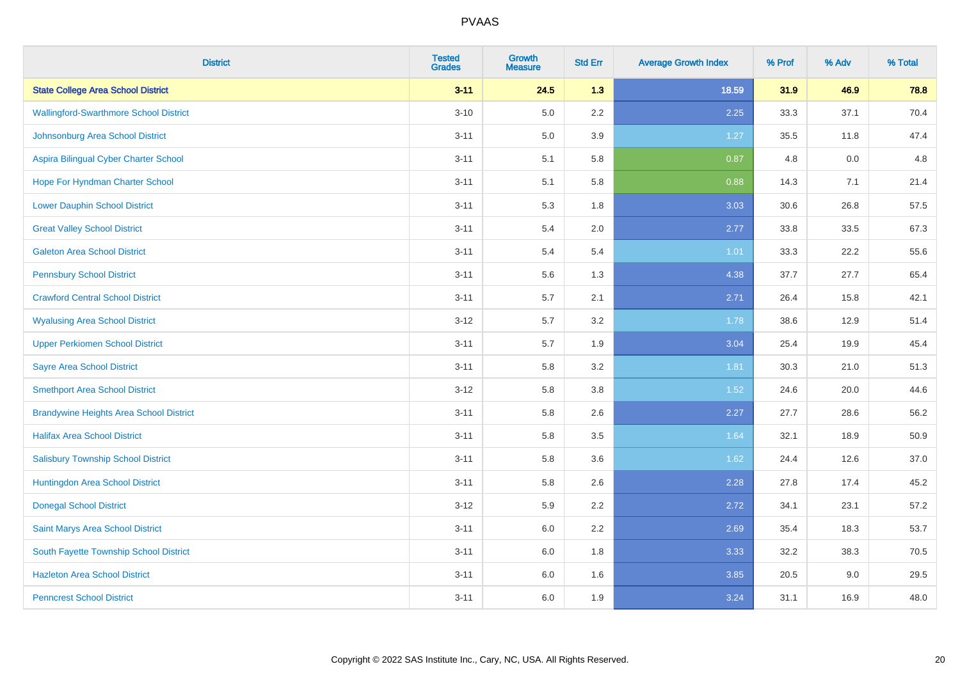| <b>District</b>                                | <b>Tested</b><br><b>Grades</b> | <b>Growth</b><br><b>Measure</b> | <b>Std Err</b> | <b>Average Growth Index</b> | % Prof | % Adv | % Total |
|------------------------------------------------|--------------------------------|---------------------------------|----------------|-----------------------------|--------|-------|---------|
| <b>State College Area School District</b>      | $3 - 11$                       | 24.5                            | 1.3            | 18.59                       | 31.9   | 46.9  | 78.8    |
| <b>Wallingford-Swarthmore School District</b>  | $3 - 10$                       | 5.0                             | 2.2            | 2.25                        | 33.3   | 37.1  | 70.4    |
| Johnsonburg Area School District               | $3 - 11$                       | 5.0                             | 3.9            | 1.27                        | 35.5   | 11.8  | 47.4    |
| Aspira Bilingual Cyber Charter School          | $3 - 11$                       | 5.1                             | 5.8            | 0.87                        | 4.8    | 0.0   | 4.8     |
| Hope For Hyndman Charter School                | $3 - 11$                       | 5.1                             | 5.8            | 0.88                        | 14.3   | 7.1   | 21.4    |
| <b>Lower Dauphin School District</b>           | $3 - 11$                       | 5.3                             | 1.8            | 3.03                        | 30.6   | 26.8  | 57.5    |
| <b>Great Valley School District</b>            | $3 - 11$                       | 5.4                             | 2.0            | 2.77                        | 33.8   | 33.5  | 67.3    |
| <b>Galeton Area School District</b>            | $3 - 11$                       | 5.4                             | 5.4            | 1.01                        | 33.3   | 22.2  | 55.6    |
| <b>Pennsbury School District</b>               | $3 - 11$                       | 5.6                             | 1.3            | 4.38                        | 37.7   | 27.7  | 65.4    |
| <b>Crawford Central School District</b>        | $3 - 11$                       | 5.7                             | 2.1            | 2.71                        | 26.4   | 15.8  | 42.1    |
| <b>Wyalusing Area School District</b>          | $3 - 12$                       | 5.7                             | 3.2            | 1.78                        | 38.6   | 12.9  | 51.4    |
| <b>Upper Perkiomen School District</b>         | $3 - 11$                       | 5.7                             | 1.9            | 3.04                        | 25.4   | 19.9  | 45.4    |
| <b>Sayre Area School District</b>              | $3 - 11$                       | 5.8                             | 3.2            | 1.81                        | 30.3   | 21.0  | 51.3    |
| <b>Smethport Area School District</b>          | $3 - 12$                       | 5.8                             | 3.8            | 1.52                        | 24.6   | 20.0  | 44.6    |
| <b>Brandywine Heights Area School District</b> | $3 - 11$                       | 5.8                             | 2.6            | 2.27                        | 27.7   | 28.6  | 56.2    |
| <b>Halifax Area School District</b>            | $3 - 11$                       | 5.8                             | 3.5            | 1.64                        | 32.1   | 18.9  | 50.9    |
| <b>Salisbury Township School District</b>      | $3 - 11$                       | 5.8                             | 3.6            | 1.62                        | 24.4   | 12.6  | 37.0    |
| Huntingdon Area School District                | $3 - 11$                       | 5.8                             | 2.6            | 2.28                        | 27.8   | 17.4  | 45.2    |
| <b>Donegal School District</b>                 | $3 - 12$                       | 5.9                             | 2.2            | 2.72                        | 34.1   | 23.1  | 57.2    |
| Saint Marys Area School District               | $3 - 11$                       | 6.0                             | 2.2            | 2.69                        | 35.4   | 18.3  | 53.7    |
| South Fayette Township School District         | $3 - 11$                       | 6.0                             | 1.8            | 3.33                        | 32.2   | 38.3  | 70.5    |
| <b>Hazleton Area School District</b>           | $3 - 11$                       | 6.0                             | 1.6            | 3.85                        | 20.5   | 9.0   | 29.5    |
| <b>Penncrest School District</b>               | $3 - 11$                       | 6.0                             | 1.9            | 3.24                        | 31.1   | 16.9  | 48.0    |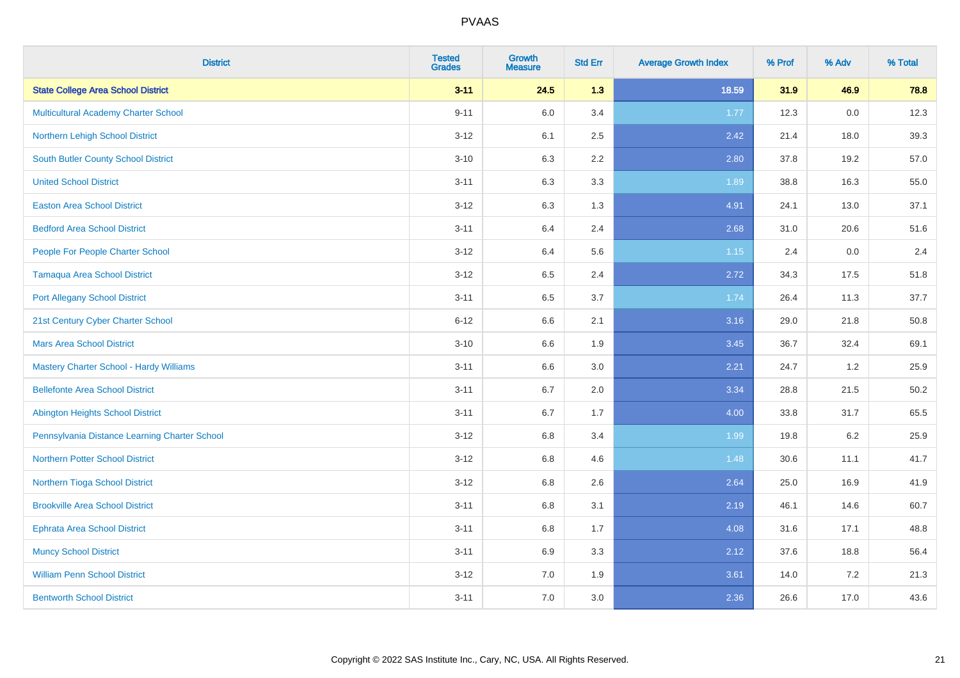| <b>District</b>                                | <b>Tested</b><br><b>Grades</b> | <b>Growth</b><br><b>Measure</b> | <b>Std Err</b> | <b>Average Growth Index</b> | % Prof | % Adv   | % Total |
|------------------------------------------------|--------------------------------|---------------------------------|----------------|-----------------------------|--------|---------|---------|
| <b>State College Area School District</b>      | $3 - 11$                       | 24.5                            | 1.3            | 18.59                       | 31.9   | 46.9    | 78.8    |
| <b>Multicultural Academy Charter School</b>    | $9 - 11$                       | 6.0                             | 3.4            | 1.77                        | 12.3   | 0.0     | 12.3    |
| Northern Lehigh School District                | $3 - 12$                       | 6.1                             | 2.5            | 2.42                        | 21.4   | 18.0    | 39.3    |
| <b>South Butler County School District</b>     | $3 - 10$                       | 6.3                             | 2.2            | 2.80                        | 37.8   | 19.2    | 57.0    |
| <b>United School District</b>                  | $3 - 11$                       | 6.3                             | 3.3            | 1.89                        | 38.8   | 16.3    | 55.0    |
| <b>Easton Area School District</b>             | $3 - 12$                       | 6.3                             | 1.3            | 4.91                        | 24.1   | 13.0    | 37.1    |
| <b>Bedford Area School District</b>            | $3 - 11$                       | 6.4                             | 2.4            | 2.68                        | 31.0   | 20.6    | 51.6    |
| People For People Charter School               | $3 - 12$                       | 6.4                             | 5.6            | $1.15$                      | 2.4    | 0.0     | 2.4     |
| <b>Tamaqua Area School District</b>            | $3 - 12$                       | 6.5                             | 2.4            | 2.72                        | 34.3   | 17.5    | 51.8    |
| <b>Port Allegany School District</b>           | $3 - 11$                       | 6.5                             | 3.7            | 1.74                        | 26.4   | 11.3    | 37.7    |
| 21st Century Cyber Charter School              | $6 - 12$                       | 6.6                             | 2.1            | 3.16                        | 29.0   | 21.8    | 50.8    |
| <b>Mars Area School District</b>               | $3 - 10$                       | 6.6                             | 1.9            | 3.45                        | 36.7   | 32.4    | 69.1    |
| <b>Mastery Charter School - Hardy Williams</b> | $3 - 11$                       | 6.6                             | 3.0            | 2.21                        | 24.7   | 1.2     | 25.9    |
| <b>Bellefonte Area School District</b>         | $3 - 11$                       | 6.7                             | 2.0            | 3.34                        | 28.8   | 21.5    | 50.2    |
| <b>Abington Heights School District</b>        | $3 - 11$                       | 6.7                             | 1.7            | 4.00                        | 33.8   | 31.7    | 65.5    |
| Pennsylvania Distance Learning Charter School  | $3 - 12$                       | 6.8                             | 3.4            | 1.99                        | 19.8   | $6.2\,$ | 25.9    |
| <b>Northern Potter School District</b>         | $3 - 12$                       | 6.8                             | 4.6            | 1.48                        | 30.6   | 11.1    | 41.7    |
| Northern Tioga School District                 | $3 - 12$                       | 6.8                             | 2.6            | 2.64                        | 25.0   | 16.9    | 41.9    |
| <b>Brookville Area School District</b>         | $3 - 11$                       | $6.8\,$                         | 3.1            | 2.19                        | 46.1   | 14.6    | 60.7    |
| <b>Ephrata Area School District</b>            | $3 - 11$                       | $6.8\,$                         | 1.7            | 4.08                        | 31.6   | 17.1    | 48.8    |
| <b>Muncy School District</b>                   | $3 - 11$                       | 6.9                             | 3.3            | 2.12                        | 37.6   | 18.8    | 56.4    |
| <b>William Penn School District</b>            | $3 - 12$                       | 7.0                             | 1.9            | 3.61                        | 14.0   | 7.2     | 21.3    |
| <b>Bentworth School District</b>               | $3 - 11$                       | 7.0                             | 3.0            | 2.36                        | 26.6   | 17.0    | 43.6    |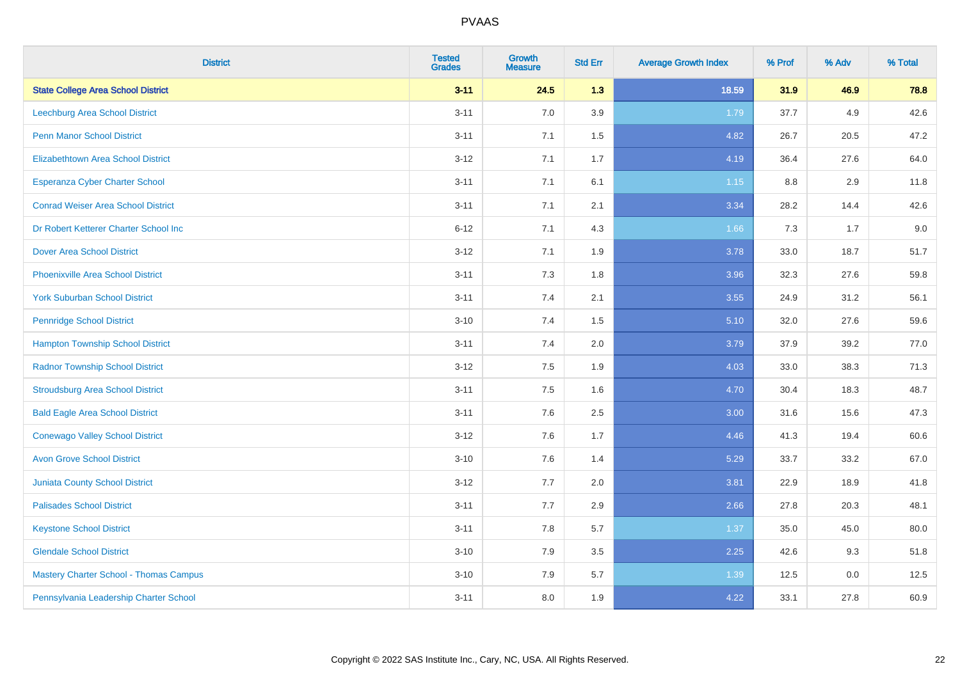| <b>District</b>                               | <b>Tested</b><br><b>Grades</b> | <b>Growth</b><br><b>Measure</b> | <b>Std Err</b> | <b>Average Growth Index</b> | % Prof | % Adv | % Total |
|-----------------------------------------------|--------------------------------|---------------------------------|----------------|-----------------------------|--------|-------|---------|
| <b>State College Area School District</b>     | $3 - 11$                       | 24.5                            | 1.3            | 18.59                       | 31.9   | 46.9  | 78.8    |
| Leechburg Area School District                | $3 - 11$                       | 7.0                             | 3.9            | 1.79                        | 37.7   | 4.9   | 42.6    |
| <b>Penn Manor School District</b>             | $3 - 11$                       | 7.1                             | 1.5            | 4.82                        | 26.7   | 20.5  | 47.2    |
| <b>Elizabethtown Area School District</b>     | $3 - 12$                       | 7.1                             | 1.7            | 4.19                        | 36.4   | 27.6  | 64.0    |
| <b>Esperanza Cyber Charter School</b>         | $3 - 11$                       | 7.1                             | 6.1            | $1.15$                      | 8.8    | 2.9   | 11.8    |
| <b>Conrad Weiser Area School District</b>     | $3 - 11$                       | 7.1                             | 2.1            | 3.34                        | 28.2   | 14.4  | 42.6    |
| Dr Robert Ketterer Charter School Inc         | $6 - 12$                       | 7.1                             | 4.3            | 1.66                        | 7.3    | 1.7   | 9.0     |
| <b>Dover Area School District</b>             | $3 - 12$                       | 7.1                             | 1.9            | 3.78                        | 33.0   | 18.7  | 51.7    |
| <b>Phoenixville Area School District</b>      | $3 - 11$                       | 7.3                             | 1.8            | 3.96                        | 32.3   | 27.6  | 59.8    |
| <b>York Suburban School District</b>          | $3 - 11$                       | 7.4                             | 2.1            | 3.55                        | 24.9   | 31.2  | 56.1    |
| <b>Pennridge School District</b>              | $3 - 10$                       | 7.4                             | 1.5            | 5.10                        | 32.0   | 27.6  | 59.6    |
| <b>Hampton Township School District</b>       | $3 - 11$                       | 7.4                             | 2.0            | 3.79                        | 37.9   | 39.2  | 77.0    |
| <b>Radnor Township School District</b>        | $3 - 12$                       | $7.5\,$                         | 1.9            | 4.03                        | 33.0   | 38.3  | 71.3    |
| <b>Stroudsburg Area School District</b>       | $3 - 11$                       | 7.5                             | 1.6            | 4.70                        | 30.4   | 18.3  | 48.7    |
| <b>Bald Eagle Area School District</b>        | $3 - 11$                       | 7.6                             | 2.5            | 3.00                        | 31.6   | 15.6  | 47.3    |
| <b>Conewago Valley School District</b>        | $3 - 12$                       | 7.6                             | 1.7            | 4.46                        | 41.3   | 19.4  | 60.6    |
| <b>Avon Grove School District</b>             | $3 - 10$                       | 7.6                             | 1.4            | 5.29                        | 33.7   | 33.2  | 67.0    |
| <b>Juniata County School District</b>         | $3 - 12$                       | 7.7                             | 2.0            | 3.81                        | 22.9   | 18.9  | 41.8    |
| <b>Palisades School District</b>              | $3 - 11$                       | 7.7                             | 2.9            | 2.66                        | 27.8   | 20.3  | 48.1    |
| <b>Keystone School District</b>               | $3 - 11$                       | 7.8                             | 5.7            | 1.37                        | 35.0   | 45.0  | 80.0    |
| <b>Glendale School District</b>               | $3 - 10$                       | 7.9                             | 3.5            | 2.25                        | 42.6   | 9.3   | 51.8    |
| <b>Mastery Charter School - Thomas Campus</b> | $3 - 10$                       | 7.9                             | 5.7            | 1.39                        | 12.5   | 0.0   | 12.5    |
| Pennsylvania Leadership Charter School        | $3 - 11$                       | 8.0                             | 1.9            | 4.22                        | 33.1   | 27.8  | 60.9    |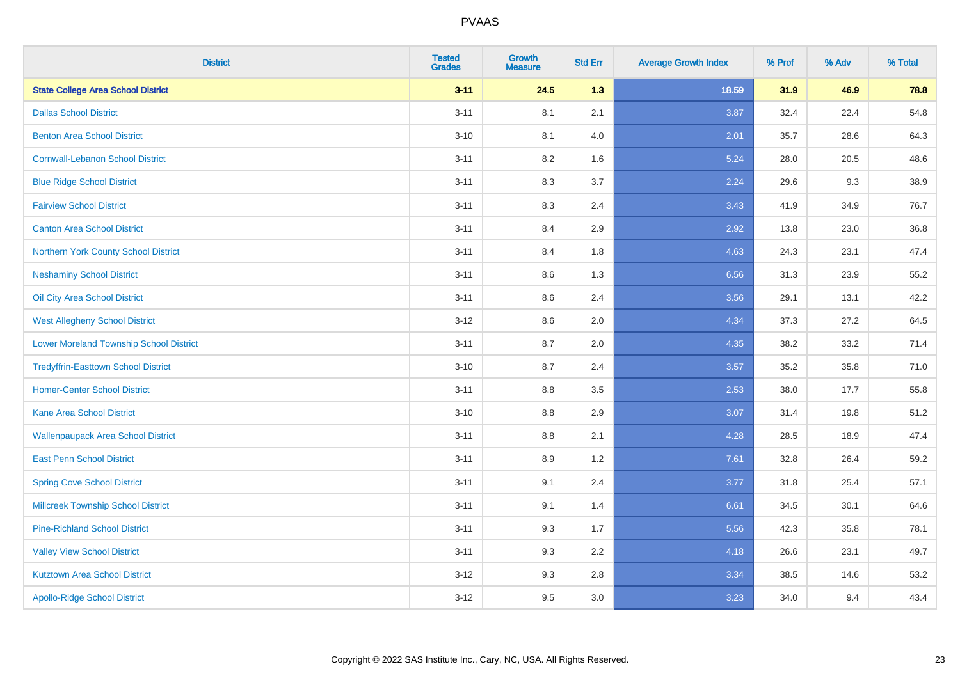| <b>District</b>                                | <b>Tested</b><br><b>Grades</b> | <b>Growth</b><br><b>Measure</b> | <b>Std Err</b> | <b>Average Growth Index</b> | % Prof | % Adv | % Total |
|------------------------------------------------|--------------------------------|---------------------------------|----------------|-----------------------------|--------|-------|---------|
| <b>State College Area School District</b>      | $3 - 11$                       | 24.5                            | 1.3            | 18.59                       | 31.9   | 46.9  | 78.8    |
| <b>Dallas School District</b>                  | $3 - 11$                       | 8.1                             | 2.1            | 3.87                        | 32.4   | 22.4  | 54.8    |
| <b>Benton Area School District</b>             | $3 - 10$                       | 8.1                             | 4.0            | 2.01                        | 35.7   | 28.6  | 64.3    |
| <b>Cornwall-Lebanon School District</b>        | $3 - 11$                       | 8.2                             | 1.6            | 5.24                        | 28.0   | 20.5  | 48.6    |
| <b>Blue Ridge School District</b>              | $3 - 11$                       | 8.3                             | 3.7            | 2.24                        | 29.6   | 9.3   | 38.9    |
| <b>Fairview School District</b>                | $3 - 11$                       | 8.3                             | 2.4            | 3.43                        | 41.9   | 34.9  | 76.7    |
| <b>Canton Area School District</b>             | $3 - 11$                       | 8.4                             | 2.9            | 2.92                        | 13.8   | 23.0  | 36.8    |
| Northern York County School District           | $3 - 11$                       | 8.4                             | 1.8            | 4.63                        | 24.3   | 23.1  | 47.4    |
| <b>Neshaminy School District</b>               | $3 - 11$                       | 8.6                             | 1.3            | 6.56                        | 31.3   | 23.9  | 55.2    |
| Oil City Area School District                  | $3 - 11$                       | 8.6                             | 2.4            | 3.56                        | 29.1   | 13.1  | 42.2    |
| <b>West Allegheny School District</b>          | $3 - 12$                       | 8.6                             | 2.0            | 4.34                        | 37.3   | 27.2  | 64.5    |
| <b>Lower Moreland Township School District</b> | $3 - 11$                       | 8.7                             | 2.0            | 4.35                        | 38.2   | 33.2  | 71.4    |
| <b>Tredyffrin-Easttown School District</b>     | $3 - 10$                       | 8.7                             | 2.4            | 3.57                        | 35.2   | 35.8  | 71.0    |
| <b>Homer-Center School District</b>            | $3 - 11$                       | 8.8                             | 3.5            | 2.53                        | 38.0   | 17.7  | 55.8    |
| <b>Kane Area School District</b>               | $3 - 10$                       | 8.8                             | 2.9            | 3.07                        | 31.4   | 19.8  | 51.2    |
| <b>Wallenpaupack Area School District</b>      | $3 - 11$                       | 8.8                             | 2.1            | 4.28                        | 28.5   | 18.9  | 47.4    |
| <b>East Penn School District</b>               | $3 - 11$                       | 8.9                             | 1.2            | 7.61                        | 32.8   | 26.4  | 59.2    |
| <b>Spring Cove School District</b>             | $3 - 11$                       | 9.1                             | 2.4            | 3.77                        | 31.8   | 25.4  | 57.1    |
| <b>Millcreek Township School District</b>      | $3 - 11$                       | 9.1                             | 1.4            | 6.61                        | 34.5   | 30.1  | 64.6    |
| <b>Pine-Richland School District</b>           | $3 - 11$                       | 9.3                             | 1.7            | 5.56                        | 42.3   | 35.8  | 78.1    |
| <b>Valley View School District</b>             | $3 - 11$                       | 9.3                             | 2.2            | 4.18                        | 26.6   | 23.1  | 49.7    |
| <b>Kutztown Area School District</b>           | $3 - 12$                       | 9.3                             | 2.8            | 3.34                        | 38.5   | 14.6  | 53.2    |
| <b>Apollo-Ridge School District</b>            | $3 - 12$                       | 9.5                             | 3.0            | 3.23                        | 34.0   | 9.4   | 43.4    |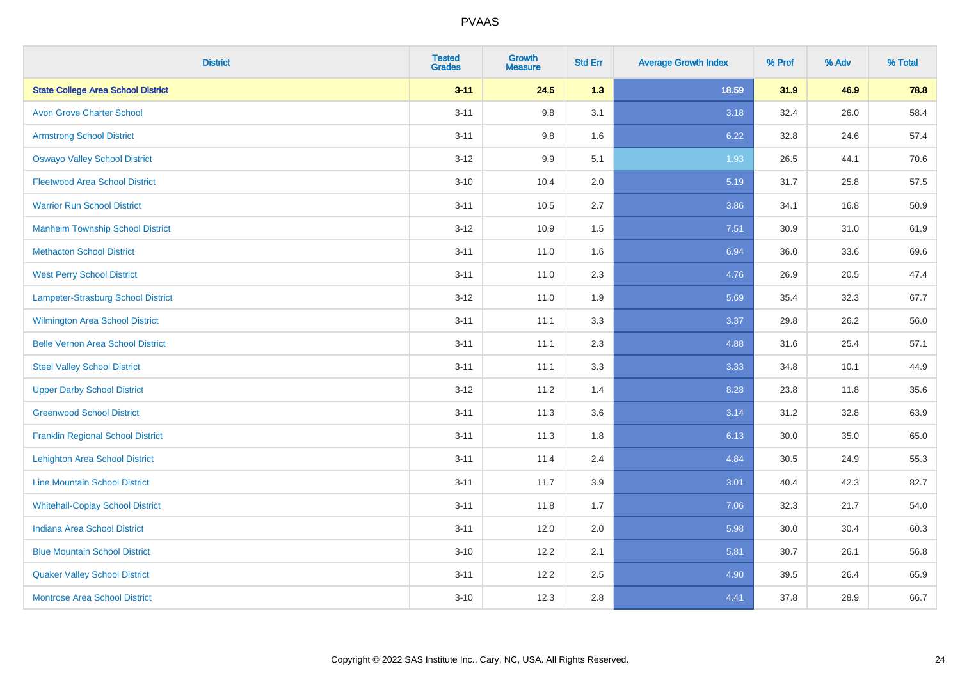| <b>District</b>                           | <b>Tested</b><br><b>Grades</b> | <b>Growth</b><br><b>Measure</b> | <b>Std Err</b> | <b>Average Growth Index</b> | % Prof | % Adv | % Total |
|-------------------------------------------|--------------------------------|---------------------------------|----------------|-----------------------------|--------|-------|---------|
| <b>State College Area School District</b> | $3 - 11$                       | 24.5                            | 1.3            | 18.59                       | 31.9   | 46.9  | 78.8    |
| <b>Avon Grove Charter School</b>          | $3 - 11$                       | 9.8                             | 3.1            | 3.18                        | 32.4   | 26.0  | 58.4    |
| <b>Armstrong School District</b>          | $3 - 11$                       | 9.8                             | 1.6            | 6.22                        | 32.8   | 24.6  | 57.4    |
| <b>Oswayo Valley School District</b>      | $3 - 12$                       | 9.9                             | 5.1            | 1.93                        | 26.5   | 44.1  | 70.6    |
| <b>Fleetwood Area School District</b>     | $3 - 10$                       | 10.4                            | 2.0            | 5.19                        | 31.7   | 25.8  | 57.5    |
| <b>Warrior Run School District</b>        | $3 - 11$                       | 10.5                            | 2.7            | 3.86                        | 34.1   | 16.8  | 50.9    |
| <b>Manheim Township School District</b>   | $3 - 12$                       | 10.9                            | 1.5            | 7.51                        | 30.9   | 31.0  | 61.9    |
| <b>Methacton School District</b>          | $3 - 11$                       | 11.0                            | 1.6            | 6.94                        | 36.0   | 33.6  | 69.6    |
| <b>West Perry School District</b>         | $3 - 11$                       | 11.0                            | 2.3            | 4.76                        | 26.9   | 20.5  | 47.4    |
| Lampeter-Strasburg School District        | $3 - 12$                       | 11.0                            | 1.9            | 5.69                        | 35.4   | 32.3  | 67.7    |
| Wilmington Area School District           | $3 - 11$                       | 11.1                            | 3.3            | 3.37                        | 29.8   | 26.2  | 56.0    |
| <b>Belle Vernon Area School District</b>  | $3 - 11$                       | 11.1                            | 2.3            | 4.88                        | 31.6   | 25.4  | 57.1    |
| <b>Steel Valley School District</b>       | $3 - 11$                       | 11.1                            | 3.3            | 3.33                        | 34.8   | 10.1  | 44.9    |
| <b>Upper Darby School District</b>        | $3 - 12$                       | 11.2                            | 1.4            | 8.28                        | 23.8   | 11.8  | 35.6    |
| <b>Greenwood School District</b>          | $3 - 11$                       | 11.3                            | 3.6            | 3.14                        | 31.2   | 32.8  | 63.9    |
| <b>Franklin Regional School District</b>  | $3 - 11$                       | 11.3                            | 1.8            | 6.13                        | 30.0   | 35.0  | 65.0    |
| <b>Lehighton Area School District</b>     | $3 - 11$                       | 11.4                            | 2.4            | 4.84                        | 30.5   | 24.9  | 55.3    |
| <b>Line Mountain School District</b>      | $3 - 11$                       | 11.7                            | 3.9            | 3.01                        | 40.4   | 42.3  | 82.7    |
| <b>Whitehall-Coplay School District</b>   | $3 - 11$                       | 11.8                            | 1.7            | 7.06                        | 32.3   | 21.7  | 54.0    |
| <b>Indiana Area School District</b>       | $3 - 11$                       | 12.0                            | 2.0            | 5.98                        | 30.0   | 30.4  | 60.3    |
| <b>Blue Mountain School District</b>      | $3 - 10$                       | 12.2                            | 2.1            | 5.81                        | 30.7   | 26.1  | 56.8    |
| <b>Quaker Valley School District</b>      | $3 - 11$                       | 12.2                            | 2.5            | 4.90                        | 39.5   | 26.4  | 65.9    |
| <b>Montrose Area School District</b>      | $3 - 10$                       | 12.3                            | 2.8            | 4.41                        | 37.8   | 28.9  | 66.7    |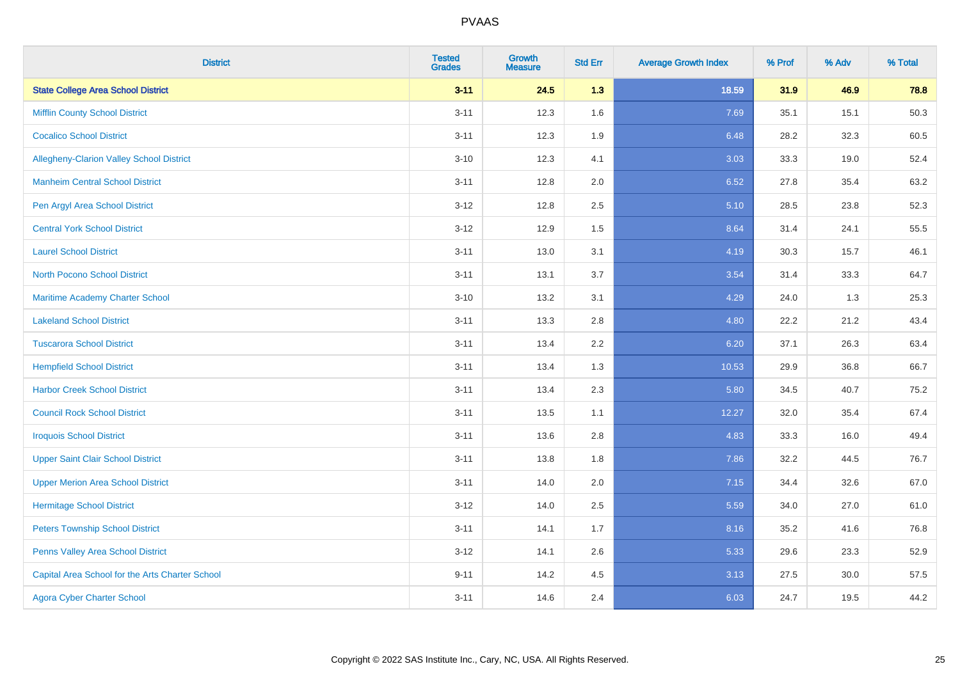| <b>District</b>                                 | <b>Tested</b><br><b>Grades</b> | <b>Growth</b><br><b>Measure</b> | <b>Std Err</b> | <b>Average Growth Index</b> | % Prof | % Adv | % Total |
|-------------------------------------------------|--------------------------------|---------------------------------|----------------|-----------------------------|--------|-------|---------|
| <b>State College Area School District</b>       | $3 - 11$                       | 24.5                            | 1.3            | 18.59                       | 31.9   | 46.9  | 78.8    |
| <b>Mifflin County School District</b>           | $3 - 11$                       | 12.3                            | 1.6            | 7.69                        | 35.1   | 15.1  | 50.3    |
| <b>Cocalico School District</b>                 | $3 - 11$                       | 12.3                            | 1.9            | 6.48                        | 28.2   | 32.3  | 60.5    |
| Allegheny-Clarion Valley School District        | $3 - 10$                       | 12.3                            | 4.1            | 3.03                        | 33.3   | 19.0  | 52.4    |
| <b>Manheim Central School District</b>          | $3 - 11$                       | 12.8                            | 2.0            | 6.52                        | 27.8   | 35.4  | 63.2    |
| Pen Argyl Area School District                  | $3 - 12$                       | 12.8                            | 2.5            | 5.10                        | 28.5   | 23.8  | 52.3    |
| <b>Central York School District</b>             | $3 - 12$                       | 12.9                            | 1.5            | 8.64                        | 31.4   | 24.1  | 55.5    |
| <b>Laurel School District</b>                   | $3 - 11$                       | 13.0                            | 3.1            | 4.19                        | 30.3   | 15.7  | 46.1    |
| North Pocono School District                    | $3 - 11$                       | 13.1                            | 3.7            | 3.54                        | 31.4   | 33.3  | 64.7    |
| <b>Maritime Academy Charter School</b>          | $3 - 10$                       | 13.2                            | 3.1            | 4.29                        | 24.0   | 1.3   | 25.3    |
| <b>Lakeland School District</b>                 | $3 - 11$                       | 13.3                            | 2.8            | 4.80                        | 22.2   | 21.2  | 43.4    |
| <b>Tuscarora School District</b>                | $3 - 11$                       | 13.4                            | 2.2            | 6.20                        | 37.1   | 26.3  | 63.4    |
| <b>Hempfield School District</b>                | $3 - 11$                       | 13.4                            | 1.3            | 10.53                       | 29.9   | 36.8  | 66.7    |
| <b>Harbor Creek School District</b>             | $3 - 11$                       | 13.4                            | 2.3            | 5.80                        | 34.5   | 40.7  | 75.2    |
| <b>Council Rock School District</b>             | $3 - 11$                       | 13.5                            | 1.1            | 12.27                       | 32.0   | 35.4  | 67.4    |
| <b>Iroquois School District</b>                 | $3 - 11$                       | 13.6                            | 2.8            | 4.83                        | 33.3   | 16.0  | 49.4    |
| <b>Upper Saint Clair School District</b>        | $3 - 11$                       | 13.8                            | 1.8            | 7.86                        | 32.2   | 44.5  | 76.7    |
| <b>Upper Merion Area School District</b>        | $3 - 11$                       | 14.0                            | 2.0            | 7.15                        | 34.4   | 32.6  | 67.0    |
| <b>Hermitage School District</b>                | $3 - 12$                       | 14.0                            | 2.5            | 5.59                        | 34.0   | 27.0  | 61.0    |
| <b>Peters Township School District</b>          | $3 - 11$                       | 14.1                            | 1.7            | 8.16                        | 35.2   | 41.6  | 76.8    |
| Penns Valley Area School District               | $3 - 12$                       | 14.1                            | 2.6            | 5.33                        | 29.6   | 23.3  | 52.9    |
| Capital Area School for the Arts Charter School | $9 - 11$                       | 14.2                            | 4.5            | 3.13                        | 27.5   | 30.0  | 57.5    |
| <b>Agora Cyber Charter School</b>               | $3 - 11$                       | 14.6                            | 2.4            | 6.03                        | 24.7   | 19.5  | 44.2    |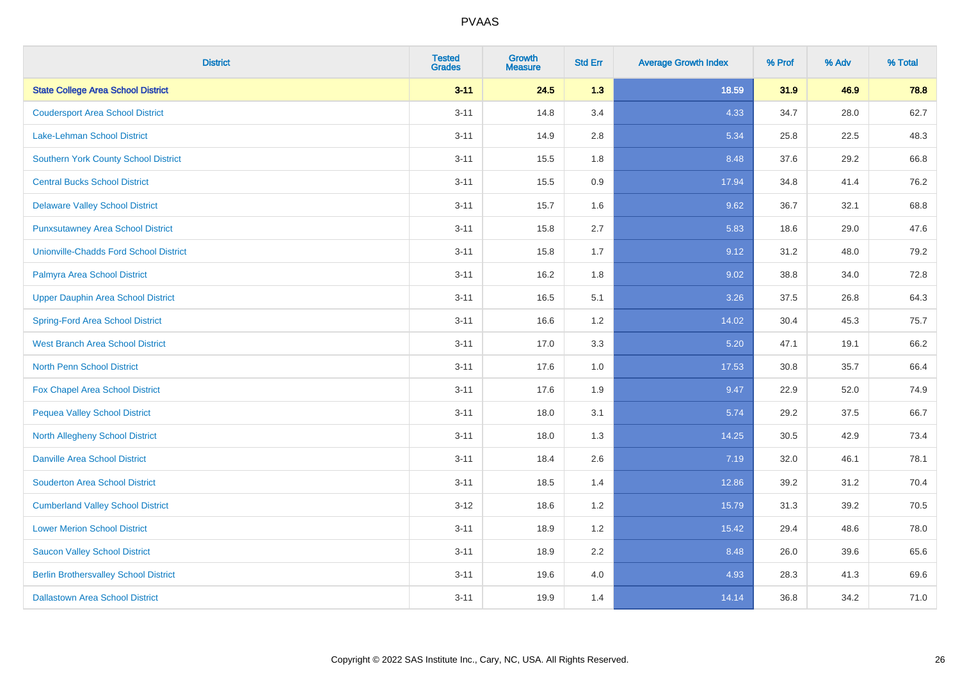| <b>District</b>                               | <b>Tested</b><br><b>Grades</b> | <b>Growth</b><br><b>Measure</b> | <b>Std Err</b> | <b>Average Growth Index</b> | % Prof | % Adv | % Total |
|-----------------------------------------------|--------------------------------|---------------------------------|----------------|-----------------------------|--------|-------|---------|
| <b>State College Area School District</b>     | $3 - 11$                       | 24.5                            | 1.3            | 18.59                       | 31.9   | 46.9  | 78.8    |
| <b>Coudersport Area School District</b>       | $3 - 11$                       | 14.8                            | 3.4            | 4.33                        | 34.7   | 28.0  | 62.7    |
| Lake-Lehman School District                   | $3 - 11$                       | 14.9                            | 2.8            | 5.34                        | 25.8   | 22.5  | 48.3    |
| <b>Southern York County School District</b>   | $3 - 11$                       | 15.5                            | 1.8            | 8.48                        | 37.6   | 29.2  | 66.8    |
| <b>Central Bucks School District</b>          | $3 - 11$                       | 15.5                            | 0.9            | 17.94                       | 34.8   | 41.4  | 76.2    |
| <b>Delaware Valley School District</b>        | $3 - 11$                       | 15.7                            | 1.6            | 9.62                        | 36.7   | 32.1  | 68.8    |
| <b>Punxsutawney Area School District</b>      | $3 - 11$                       | 15.8                            | 2.7            | 5.83                        | 18.6   | 29.0  | 47.6    |
| <b>Unionville-Chadds Ford School District</b> | $3 - 11$                       | 15.8                            | 1.7            | 9.12                        | 31.2   | 48.0  | 79.2    |
| Palmyra Area School District                  | $3 - 11$                       | 16.2                            | 1.8            | 9.02                        | 38.8   | 34.0  | 72.8    |
| <b>Upper Dauphin Area School District</b>     | $3 - 11$                       | 16.5                            | 5.1            | 3.26                        | 37.5   | 26.8  | 64.3    |
| <b>Spring-Ford Area School District</b>       | $3 - 11$                       | 16.6                            | 1.2            | 14.02                       | 30.4   | 45.3  | 75.7    |
| West Branch Area School District              | $3 - 11$                       | 17.0                            | 3.3            | 5.20                        | 47.1   | 19.1  | 66.2    |
| North Penn School District                    | $3 - 11$                       | 17.6                            | $1.0$          | 17.53                       | 30.8   | 35.7  | 66.4    |
| <b>Fox Chapel Area School District</b>        | $3 - 11$                       | 17.6                            | 1.9            | 9.47                        | 22.9   | 52.0  | 74.9    |
| <b>Pequea Valley School District</b>          | $3 - 11$                       | 18.0                            | 3.1            | 5.74                        | 29.2   | 37.5  | 66.7    |
| North Allegheny School District               | $3 - 11$                       | 18.0                            | 1.3            | 14.25                       | 30.5   | 42.9  | 73.4    |
| <b>Danville Area School District</b>          | $3 - 11$                       | 18.4                            | 2.6            | 7.19                        | 32.0   | 46.1  | 78.1    |
| <b>Souderton Area School District</b>         | $3 - 11$                       | 18.5                            | 1.4            | 12.86                       | 39.2   | 31.2  | 70.4    |
| <b>Cumberland Valley School District</b>      | $3 - 12$                       | 18.6                            | 1.2            | 15.79                       | 31.3   | 39.2  | 70.5    |
| <b>Lower Merion School District</b>           | $3 - 11$                       | 18.9                            | 1.2            | 15.42                       | 29.4   | 48.6  | 78.0    |
| <b>Saucon Valley School District</b>          | $3 - 11$                       | 18.9                            | 2.2            | 8.48                        | 26.0   | 39.6  | 65.6    |
| <b>Berlin Brothersvalley School District</b>  | $3 - 11$                       | 19.6                            | 4.0            | 4.93                        | 28.3   | 41.3  | 69.6    |
| <b>Dallastown Area School District</b>        | $3 - 11$                       | 19.9                            | 1.4            | 14.14                       | 36.8   | 34.2  | 71.0    |